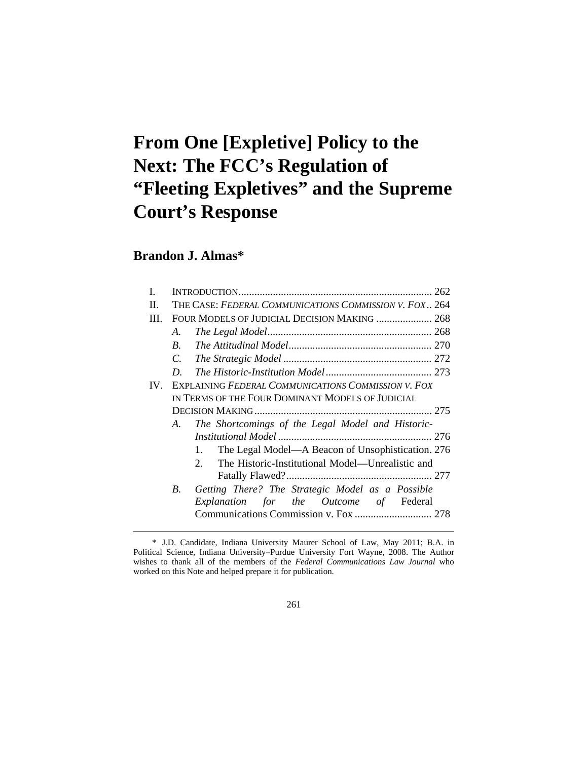# **From One [Expletive] Policy to the Next: The FCC's Regulation of "Fleeting Expletives" and the Supreme Court's Response**

# **Brandon J. Almas\***

 $\overline{a}$ 

| Н.   | THE CASE: FEDERAL COMMUNICATIONS COMMISSION V. FOX., 264 |                                                                    |
|------|----------------------------------------------------------|--------------------------------------------------------------------|
| III. | FOUR MODELS OF JUDICIAL DECISION MAKING  268             |                                                                    |
|      | A.                                                       |                                                                    |
|      | $B_{\cdot}$                                              |                                                                    |
|      | $\mathcal{C}$ .                                          |                                                                    |
|      | D                                                        |                                                                    |
| IV.  | EXPLAINING FEDERAL COMMUNICATIONS COMMISSION V. FOX      |                                                                    |
|      | IN TERMS OF THE FOUR DOMINANT MODELS OF JUDICIAL         |                                                                    |
|      |                                                          |                                                                    |
|      | A.                                                       | The Shortcomings of the Legal Model and Historic-                  |
|      |                                                          |                                                                    |
|      |                                                          | The Legal Model—A Beacon of Unsophistication. 276                  |
|      |                                                          | The Historic-Institutional Model—Unrealistic and<br>2 <sub>1</sub> |
|      |                                                          |                                                                    |
|      | <i>B</i> .                                               | Getting There? The Strategic Model as a Possible                   |
|      |                                                          | Explanation for the Outcome of Federal                             |
|      |                                                          |                                                                    |
|      |                                                          |                                                                    |

261

 <sup>\*</sup> J.D. Candidate, Indiana University Maurer School of Law, May 2011; B.A. in Political Science, Indiana University–Purdue University Fort Wayne, 2008. The Author wishes to thank all of the members of the *Federal Communications Law Journal* who worked on this Note and helped prepare it for publication.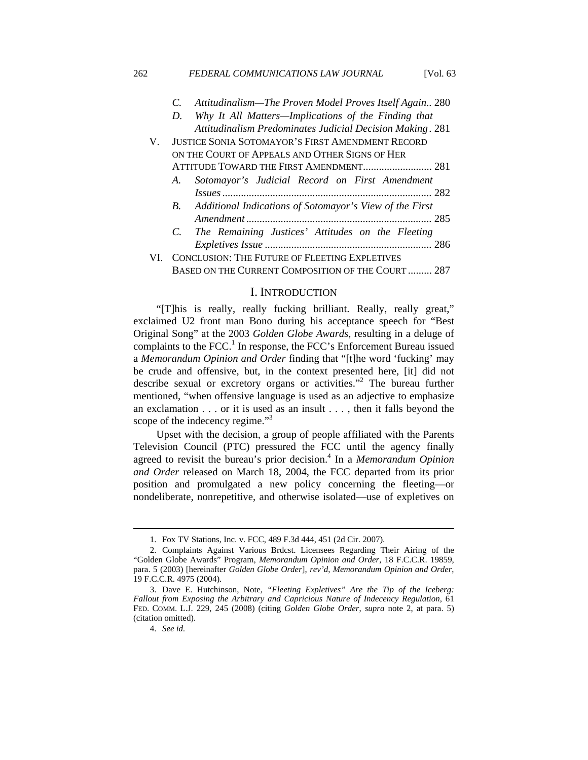# *C. Attitudinalism—The Proven Model Proves Itself Again ..* 280 *D. Why It All Matters—Implications of the Finding that Attitudinalism Predominates Judicial Decision Making .* 281 V. JUSTICE SONIA SOTOMAYOR'S FIRST AMENDMENT RECORD ON THE COURT OF APPEALS AND OTHER SIGNS OF HER ATTITUDE TOWARD THE FIRST AMENDMENT .......................... 281 *A. Sotomayor's Judicial Record on First Amendment Issues ...............................................................................* 282 *B. Additional Indications of Sotomayor's View of the First Amendment ......................................................................* 285 *C. The Remaining Justices' Attitudes on the Fleeting Expletives Issue ...............................................................* 286 VI. CONCLUSION: THE FUTURE OF FLEETING EXPLETIVES BASED ON THE CURRENT COMPOSITION OF THE COURT ......... 287

#### I. INTRODUCTION

"[T]his is really, really fucking brilliant. Really, really great," exclaimed U2 front man Bono during his acceptance speech for "Best Original Song" at the 2003 *Golden Globe Awards*, resulting in a deluge of complaints to the FCC.<sup>1</sup> In response, the FCC's Enforcement Bureau issued a *Memorandum Opinion and Order* finding that "[t]he word 'fucking' may be crude and offensive, but, in the context presented here, [it] did not describe sexual or excretory organs or activities."<sup>2</sup> The bureau further mentioned, "when offensive language is used as an adjective to emphasize an exclamation . . . or it is used as an insult . . . , then it falls beyond the scope of the indecency regime." $3$ 

Upset with the decision, a group of people affiliated with the Parents Television Council (PTC) pressured the FCC until the agency finally agreed to revisit the bureau's prior decision.<sup>4</sup> In a *Memorandum Opinion and Order* released on March 18, 2004, the FCC departed from its prior position and promulgated a new policy concerning the fleeting—or nondeliberate, nonrepetitive, and otherwise isolated—use of expletives on

 <sup>1.</sup> Fox TV Stations, Inc. v. FCC, 489 F.3d 444, 451 (2d Cir. 2007).

 <sup>2.</sup> Complaints Against Various Brdcst. Licensees Regarding Their Airing of the "Golden Globe Awards" Program, *Memorandum Opinion and Order*, 18 F.C.C.R. 19859, para. 5 (2003) [hereinafter *Golden Globe Order*], *rev'd*, *Memorandum Opinion and Order*, 19 F.C.C.R. 4975 (2004).

 <sup>3.</sup> Dave E. Hutchinson, Note, *"Fleeting Expletives" Are the Tip of the Iceberg: Fallout from Exposing the Arbitrary and Capricious Nature of Indecency Regulation*, 61 FED. COMM. L.J. 229, 245 (2008) (citing *Golden Globe Order*, *supra* note 2, at para. 5) (citation omitted).

 <sup>4.</sup> *See id.*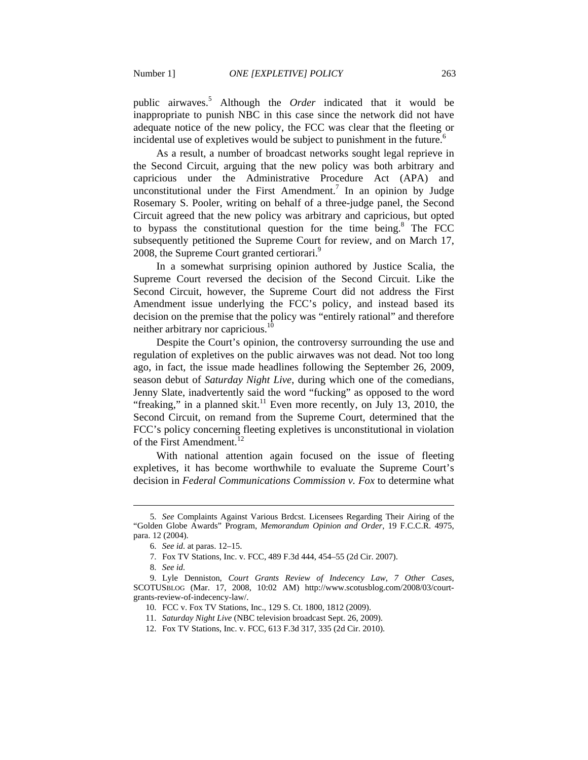public airwaves.<sup>5</sup> Although the *Order* indicated that it would be inappropriate to punish NBC in this case since the network did not have adequate notice of the new policy, the FCC was clear that the fleeting or incidental use of expletives would be subject to punishment in the future.<sup>6</sup>

As a result, a number of broadcast networks sought legal reprieve in the Second Circuit, arguing that the new policy was both arbitrary and capricious under the Administrative Procedure Act (APA) and unconstitutional under the First Amendment.<sup>7</sup> In an opinion by Judge Rosemary S. Pooler, writing on behalf of a three-judge panel, the Second Circuit agreed that the new policy was arbitrary and capricious, but opted to bypass the constitutional question for the time being. $8$  The FCC subsequently petitioned the Supreme Court for review, and on March 17, 2008, the Supreme Court granted certiorari.<sup>9</sup>

In a somewhat surprising opinion authored by Justice Scalia, the Supreme Court reversed the decision of the Second Circuit. Like the Second Circuit, however, the Supreme Court did not address the First Amendment issue underlying the FCC's policy, and instead based its decision on the premise that the policy was "entirely rational" and therefore neither arbitrary nor capricious.<sup>10</sup>

Despite the Court's opinion, the controversy surrounding the use and regulation of expletives on the public airwaves was not dead. Not too long ago, in fact, the issue made headlines following the September 26, 2009, season debut of *Saturday Night Live*, during which one of the comedians, Jenny Slate, inadvertently said the word "fucking" as opposed to the word "freaking," in a planned skit.<sup>11</sup> Even more recently, on July 13, 2010, the Second Circuit, on remand from the Supreme Court, determined that the FCC's policy concerning fleeting expletives is unconstitutional in violation of the First Amendment.<sup>12</sup>

With national attention again focused on the issue of fleeting expletives, it has become worthwhile to evaluate the Supreme Court's decision in *Federal Communications Commission v. Fox* to determine what

 <sup>5.</sup> *See* Complaints Against Various Brdcst. Licensees Regarding Their Airing of the "Golden Globe Awards" Program, *Memorandum Opinion and Order*, 19 F.C.C.R. 4975, para. 12 (2004).

 <sup>6.</sup> *See id.* at paras. 12–15.

 <sup>7.</sup> Fox TV Stations, Inc. v. FCC, 489 F.3d 444, 454–55 (2d Cir. 2007).

 <sup>8.</sup> *See id.*

 <sup>9.</sup> Lyle Denniston, *Court Grants Review of Indecency Law, 7 Other Cases*, SCOTUSBLOG (Mar. 17, 2008, 10:02 AM) http://www.scotusblog.com/2008/03/courtgrants-review-of-indecency-law/.

 <sup>10.</sup> FCC v. Fox TV Stations, Inc., 129 S. Ct. 1800, 1812 (2009).

 <sup>11.</sup> *Saturday Night Live* (NBC television broadcast Sept. 26, 2009).

 <sup>12.</sup> Fox TV Stations, Inc. v. FCC, 613 F.3d 317, 335 (2d Cir. 2010).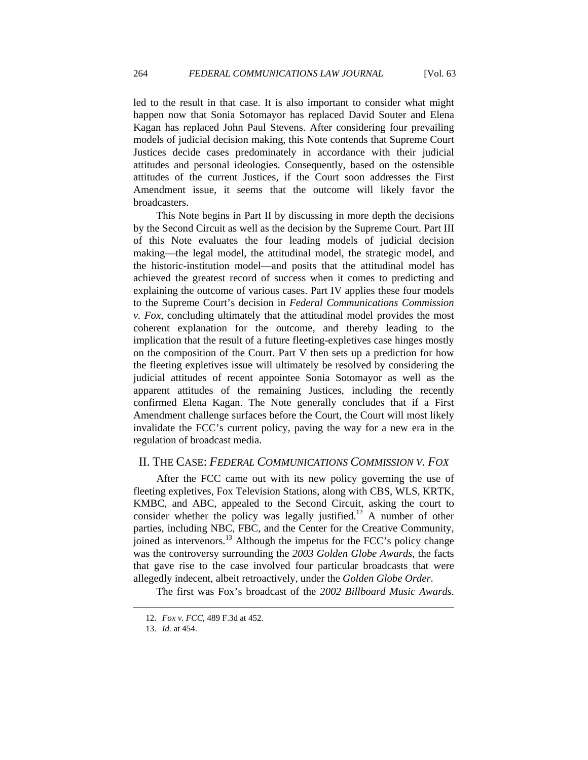led to the result in that case. It is also important to consider what might happen now that Sonia Sotomayor has replaced David Souter and Elena Kagan has replaced John Paul Stevens. After considering four prevailing models of judicial decision making, this Note contends that Supreme Court Justices decide cases predominately in accordance with their judicial attitudes and personal ideologies. Consequently, based on the ostensible attitudes of the current Justices, if the Court soon addresses the First Amendment issue, it seems that the outcome will likely favor the broadcasters.

This Note begins in Part II by discussing in more depth the decisions by the Second Circuit as well as the decision by the Supreme Court. Part III of this Note evaluates the four leading models of judicial decision making—the legal model, the attitudinal model, the strategic model, and the historic-institution model—and posits that the attitudinal model has achieved the greatest record of success when it comes to predicting and explaining the outcome of various cases. Part IV applies these four models to the Supreme Court's decision in *Federal Communications Commission v. Fox*, concluding ultimately that the attitudinal model provides the most coherent explanation for the outcome, and thereby leading to the implication that the result of a future fleeting-expletives case hinges mostly on the composition of the Court. Part V then sets up a prediction for how the fleeting expletives issue will ultimately be resolved by considering the judicial attitudes of recent appointee Sonia Sotomayor as well as the apparent attitudes of the remaining Justices, including the recently confirmed Elena Kagan. The Note generally concludes that if a First Amendment challenge surfaces before the Court, the Court will most likely invalidate the FCC's current policy, paving the way for a new era in the regulation of broadcast media.

#### II. THE CASE: *FEDERAL COMMUNICATIONS COMMISSION V. FOX*

After the FCC came out with its new policy governing the use of fleeting expletives, Fox Television Stations, along with CBS, WLS, KRTK, KMBC, and ABC, appealed to the Second Circuit, asking the court to consider whether the policy was legally justified.<sup>12</sup> A number of other parties, including NBC, FBC, and the Center for the Creative Community, joined as intervenors.<sup>13</sup> Although the impetus for the FCC's policy change was the controversy surrounding the *2003 Golden Globe Awards*, the facts that gave rise to the case involved four particular broadcasts that were allegedly indecent, albeit retroactively, under the *Golden Globe Order*.

The first was Fox's broadcast of the *2002 Billboard Music Awards*.

 <sup>12.</sup> *Fox v. FCC*, 489 F.3d at 452.

 <sup>13.</sup> *Id.* at 454.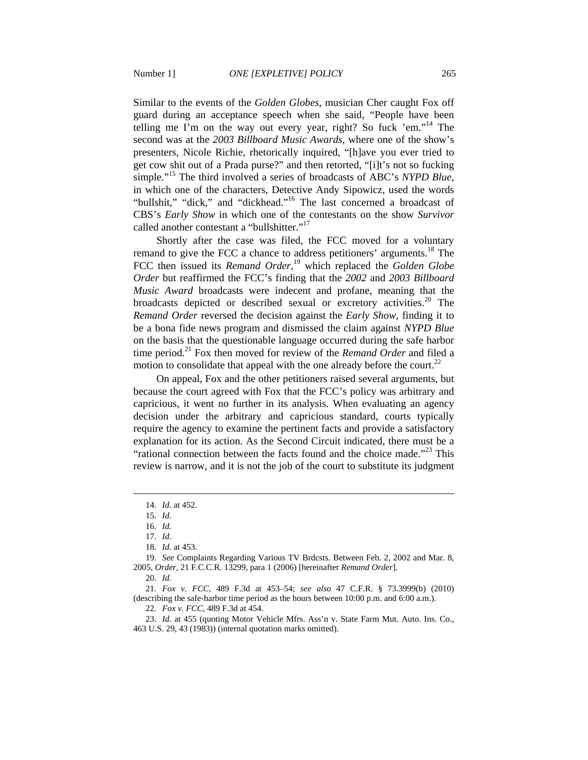Similar to the events of the *Golden Globes*, musician Cher caught Fox off

guard during an acceptance speech when she said, "People have been telling me I'm on the way out every year, right? So fuck 'em."<sup>14</sup> The second was at the *2003 Billboard Music Awards*, where one of the show's presenters, Nicole Richie, rhetorically inquired, "[h]ave you ever tried to get cow shit out of a Prada purse?" and then retorted, "[i]t's not so fucking simple."15 The third involved a series of broadcasts of ABC's *NYPD Blue*, in which one of the characters, Detective Andy Sipowicz, used the words "bullshit," "dick," and "dickhead."<sup>16</sup> The last concerned a broadcast of CBS's *Early Show* in which one of the contestants on the show *Survivor* called another contestant a "bullshitter."<sup>17</sup>

Shortly after the case was filed, the FCC moved for a voluntary remand to give the FCC a chance to address petitioners' arguments.<sup>18</sup> The FCC then issued its *Remand Order*, 19 which replaced the *Golden Globe Order* but reaffirmed the FCC's finding that the *2002* and *2003 Billboard Music Award* broadcasts were indecent and profane, meaning that the broadcasts depicted or described sexual or excretory activities.<sup>20</sup> The *Remand Order* reversed the decision against the *Early Show*, finding it to be a bona fide news program and dismissed the claim against *NYPD Blue* on the basis that the questionable language occurred during the safe harbor time period.<sup>21</sup> Fox then moved for review of the *Remand Order* and filed a motion to consolidate that appeal with the one already before the court.<sup>22</sup>

On appeal, Fox and the other petitioners raised several arguments, but because the court agreed with Fox that the FCC's policy was arbitrary and capricious, it went no further in its analysis. When evaluating an agency decision under the arbitrary and capricious standard, courts typically require the agency to examine the pertinent facts and provide a satisfactory explanation for its action. As the Second Circuit indicated, there must be a "rational connection between the facts found and the choice made."<sup>23</sup> This review is narrow, and it is not the job of the court to substitute its judgment

 <sup>14.</sup> *Id.* at 452.

 <sup>15.</sup> *Id.*

 <sup>16.</sup> *Id.*

 <sup>17.</sup> *Id.*

 <sup>18.</sup> *Id.* at 453.

 <sup>19.</sup> *See* Complaints Regarding Various TV Brdcsts. Between Feb. 2, 2002 and Mar. 8, 2005, *Order*, 21 F.C.C.R. 13299, para 1 (2006) [hereinafter *Remand Order*].

 <sup>20.</sup> *Id.*

 <sup>21.</sup> *Fox v. FCC*, 489 F.3d at 453–54; *see also* 47 C.F.R. § 73.3999(b) (2010) (describing the safe-harbor time period as the hours between 10:00 p.m. and 6:00 a.m.).

 <sup>22.</sup> *Fox v. FCC*, 489 F.3d at 454.

 <sup>23.</sup> *Id.* at 455 (quoting Motor Vehicle Mfrs. Ass'n v. State Farm Mut. Auto. Ins. Co., 463 U.S. 29, 43 (1983)) (internal quotation marks omitted).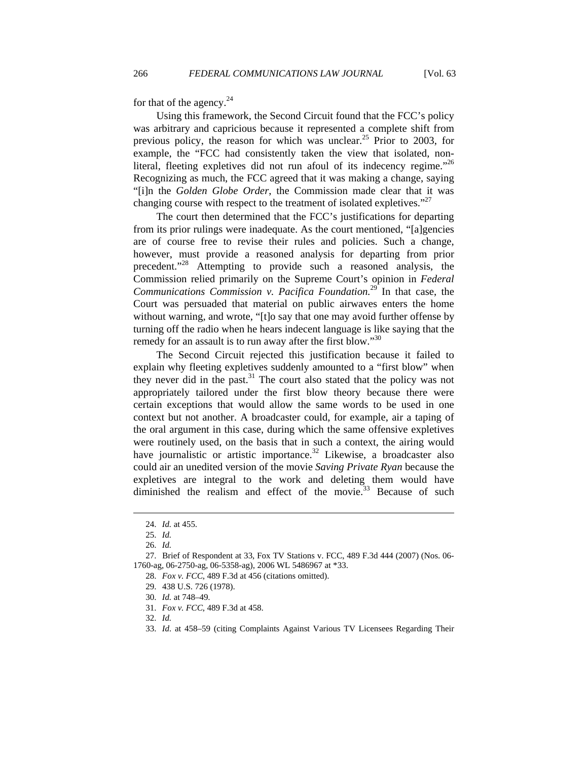for that of the agency. $^{24}$ 

Using this framework, the Second Circuit found that the FCC's policy was arbitrary and capricious because it represented a complete shift from previous policy, the reason for which was unclear.<sup>25</sup> Prior to 2003, for example, the "FCC had consistently taken the view that isolated, nonliteral, fleeting expletives did not run afoul of its indecency regime.<sup> $26$ </sup> Recognizing as much, the FCC agreed that it was making a change, saying "[i]n the *Golden Globe Order*, the Commission made clear that it was changing course with respect to the treatment of isolated expletives."<sup>27</sup>

The court then determined that the FCC's justifications for departing from its prior rulings were inadequate. As the court mentioned, "[a]gencies are of course free to revise their rules and policies. Such a change, however, must provide a reasoned analysis for departing from prior precedent."28 Attempting to provide such a reasoned analysis, the Commission relied primarily on the Supreme Court's opinion in *Federal Communications Commission v. Pacifica Foundation.*29 In that case, the Court was persuaded that material on public airwaves enters the home without warning, and wrote, "[t]o say that one may avoid further offense by turning off the radio when he hears indecent language is like saying that the remedy for an assault is to run away after the first blow."<sup>30</sup>

The Second Circuit rejected this justification because it failed to explain why fleeting expletives suddenly amounted to a "first blow" when they never did in the past.<sup>31</sup> The court also stated that the policy was not appropriately tailored under the first blow theory because there were certain exceptions that would allow the same words to be used in one context but not another. A broadcaster could, for example, air a taping of the oral argument in this case, during which the same offensive expletives were routinely used, on the basis that in such a context, the airing would have journalistic or artistic importance. $32$  Likewise, a broadcaster also could air an unedited version of the movie *Saving Private Ryan* because the expletives are integral to the work and deleting them would have diminished the realism and effect of the movie. $33$  Because of such

 $\overline{a}$ 

32. *Id.*

 <sup>24.</sup> *Id.* at 455.

 <sup>25.</sup> *Id.*

 <sup>26.</sup> *Id.* 

 <sup>27.</sup> Brief of Respondent at 33, Fox TV Stations v. FCC, 489 F.3d 444 (2007) (Nos. 06- 1760-ag, 06-2750-ag, 06-5358-ag), 2006 WL 5486967 at \*33.

 <sup>28.</sup> *Fox v. FCC*, 489 F.3d at 456 (citations omitted).

 <sup>29. 438</sup> U.S. 726 (1978).

 <sup>30.</sup> *Id.* at 748–49.

 <sup>31.</sup> *Fox v. FCC*, 489 F.3d at 458.

 <sup>33.</sup> *Id.* at 458–59 (citing Complaints Against Various TV Licensees Regarding Their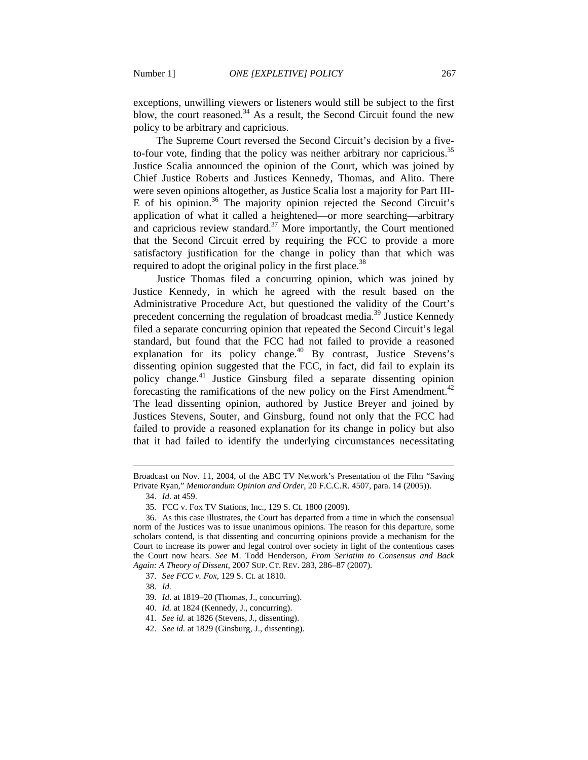exceptions, unwilling viewers or listeners would still be subject to the first blow, the court reasoned. $34$  As a result, the Second Circuit found the new policy to be arbitrary and capricious.

The Supreme Court reversed the Second Circuit's decision by a fiveto-four vote, finding that the policy was neither arbitrary nor capricious.<sup>35</sup> Justice Scalia announced the opinion of the Court, which was joined by Chief Justice Roberts and Justices Kennedy, Thomas, and Alito. There were seven opinions altogether, as Justice Scalia lost a majority for Part III-E of his opinion.<sup>36</sup> The majority opinion rejected the Second Circuit's application of what it called a heightened—or more searching—arbitrary and capricious review standard.<sup>37</sup> More importantly, the Court mentioned that the Second Circuit erred by requiring the FCC to provide a more satisfactory justification for the change in policy than that which was required to adopt the original policy in the first place.<sup>38</sup>

Justice Thomas filed a concurring opinion, which was joined by Justice Kennedy, in which he agreed with the result based on the Administrative Procedure Act, but questioned the validity of the Court's precedent concerning the regulation of broadcast media.<sup>39</sup> Justice Kennedy filed a separate concurring opinion that repeated the Second Circuit's legal standard, but found that the FCC had not failed to provide a reasoned explanation for its policy change.<sup>40</sup> By contrast, Justice Stevens's dissenting opinion suggested that the FCC, in fact, did fail to explain its policy change.<sup>41</sup> Justice Ginsburg filed a separate dissenting opinion forecasting the ramifications of the new policy on the First Amendment.<sup>42</sup> The lead dissenting opinion, authored by Justice Breyer and joined by Justices Stevens, Souter, and Ginsburg, found not only that the FCC had failed to provide a reasoned explanation for its change in policy but also that it had failed to identify the underlying circumstances necessitating

34. *Id.* at 459.

 $\overline{a}$ 

40. *Id.* at 1824 (Kennedy, J., concurring).

Broadcast on Nov. 11, 2004, of the ABC TV Network's Presentation of the Film "Saving Private Ryan," *Memorandum Opinion and Order*, 20 F.C.C.R. 4507, para. 14 (2005)).

 <sup>35.</sup> FCC v. Fox TV Stations, Inc., 129 S. Ct. 1800 (2009).

 <sup>36.</sup> As this case illustrates, the Court has departed from a time in which the consensual norm of the Justices was to issue unanimous opinions. The reason for this departure, some scholars contend, is that dissenting and concurring opinions provide a mechanism for the Court to increase its power and legal control over society in light of the contentious cases the Court now hears. *See* M. Todd Henderson, *From Seriatim to Consensus and Back Again: A Theory of Dissent*, 2007 SUP. CT. REV. 283, 286–87 (2007).

 <sup>37.</sup> *See FCC v. Fox*, 129 S. Ct. at 1810.

 <sup>38.</sup> *Id.*

 <sup>39.</sup> *Id*. at 1819–20 (Thomas, J., concurring).

 <sup>41.</sup> *See id.* at 1826 (Stevens, J., dissenting).

 <sup>42.</sup> *See id.* at 1829 (Ginsburg, J., dissenting).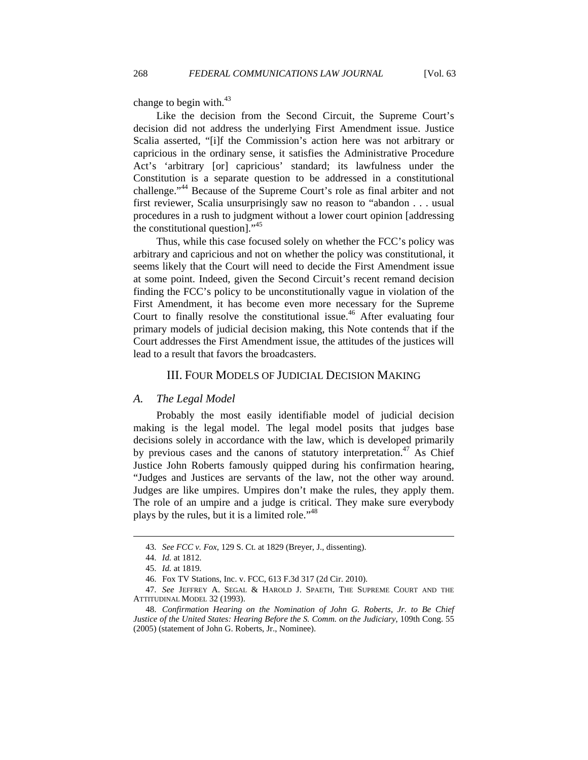change to begin with. $43$ 

Like the decision from the Second Circuit, the Supreme Court's decision did not address the underlying First Amendment issue. Justice Scalia asserted, "[i]f the Commission's action here was not arbitrary or capricious in the ordinary sense, it satisfies the Administrative Procedure Act's 'arbitrary [or] capricious' standard; its lawfulness under the Constitution is a separate question to be addressed in a constitutional challenge."44 Because of the Supreme Court's role as final arbiter and not first reviewer, Scalia unsurprisingly saw no reason to "abandon . . . usual procedures in a rush to judgment without a lower court opinion [addressing the constitutional question]."45

Thus, while this case focused solely on whether the FCC's policy was arbitrary and capricious and not on whether the policy was constitutional, it seems likely that the Court will need to decide the First Amendment issue at some point. Indeed, given the Second Circuit's recent remand decision finding the FCC's policy to be unconstitutionally vague in violation of the First Amendment, it has become even more necessary for the Supreme Court to finally resolve the constitutional issue.<sup>46</sup> After evaluating four primary models of judicial decision making, this Note contends that if the Court addresses the First Amendment issue, the attitudes of the justices will lead to a result that favors the broadcasters.

#### III. FOUR MODELS OF JUDICIAL DECISION MAKING

#### *A. The Legal Model*

Probably the most easily identifiable model of judicial decision making is the legal model. The legal model posits that judges base decisions solely in accordance with the law, which is developed primarily by previous cases and the canons of statutory interpretation.<sup>47</sup> As Chief Justice John Roberts famously quipped during his confirmation hearing, "Judges and Justices are servants of the law, not the other way around. Judges are like umpires. Umpires don't make the rules, they apply them. The role of an umpire and a judge is critical. They make sure everybody plays by the rules, but it is a limited role."<sup>48</sup>

 <sup>43.</sup> *See FCC v. Fox*, 129 S. Ct. at 1829 (Breyer, J., dissenting).

 <sup>44.</sup> *Id.* at 1812.

 <sup>45.</sup> *Id.* at 1819.

 <sup>46.</sup> Fox TV Stations, Inc. v. FCC, 613 F.3d 317 (2d Cir. 2010).

 <sup>47.</sup> *See* JEFFREY A. SEGAL & HAROLD J. SPAETH, THE SUPREME COURT AND THE ATTITUDINAL MODEL 32 (1993).

 <sup>48.</sup> *Confirmation Hearing on the Nomination of John G. Roberts, Jr. to Be Chief Justice of the United States: Hearing Before the S. Comm. on the Judiciary*, 109th Cong. 55 (2005) (statement of John G. Roberts, Jr., Nominee).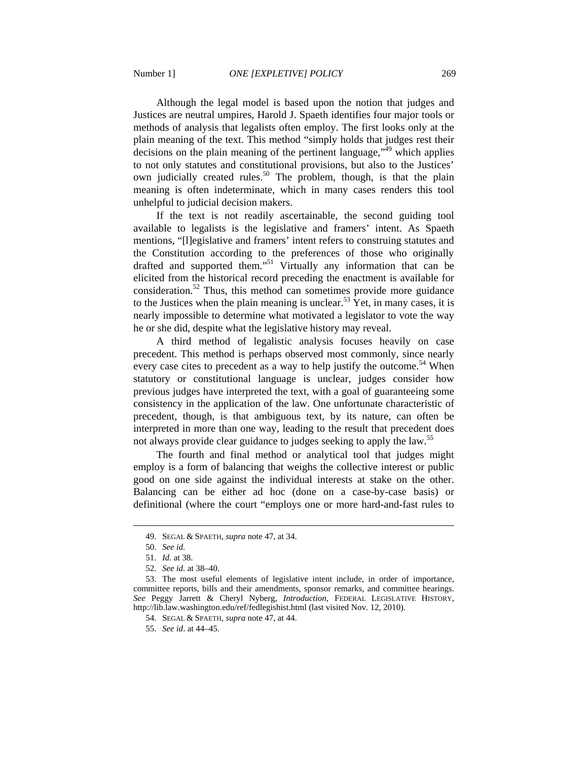Although the legal model is based upon the notion that judges and Justices are neutral umpires, Harold J. Spaeth identifies four major tools or methods of analysis that legalists often employ. The first looks only at the plain meaning of the text. This method "simply holds that judges rest their  $\alpha$  decisions on the plain meaning of the pertinent language,<sup> $,49$ </sup> which applies to not only statutes and constitutional provisions, but also to the Justices' own judicially created rules.<sup>50</sup> The problem, though, is that the plain meaning is often indeterminate, which in many cases renders this tool unhelpful to judicial decision makers.

If the text is not readily ascertainable, the second guiding tool available to legalists is the legislative and framers' intent. As Spaeth mentions, "[l]egislative and framers' intent refers to construing statutes and the Constitution according to the preferences of those who originally drafted and supported them."51 Virtually any information that can be elicited from the historical record preceding the enactment is available for consideration.<sup>52</sup> Thus, this method can sometimes provide more guidance to the Justices when the plain meaning is unclear.<sup>53</sup> Yet, in many cases, it is nearly impossible to determine what motivated a legislator to vote the way he or she did, despite what the legislative history may reveal.

A third method of legalistic analysis focuses heavily on case precedent. This method is perhaps observed most commonly, since nearly every case cites to precedent as a way to help justify the outcome.<sup>54</sup> When statutory or constitutional language is unclear, judges consider how previous judges have interpreted the text, with a goal of guaranteeing some consistency in the application of the law. One unfortunate characteristic of precedent, though, is that ambiguous text, by its nature, can often be interpreted in more than one way, leading to the result that precedent does not always provide clear guidance to judges seeking to apply the law.<sup>55</sup>

The fourth and final method or analytical tool that judges might employ is a form of balancing that weighs the collective interest or public good on one side against the individual interests at stake on the other. Balancing can be either ad hoc (done on a case-by-case basis) or definitional (where the court "employs one or more hard-and-fast rules to

 <sup>49.</sup> SEGAL & SPAETH, *supra* note 47, at 34.

 <sup>50.</sup> *See id.* 

 <sup>51.</sup> *Id.* at 38.

 <sup>52.</sup> *See id.* at 38–40.

 <sup>53.</sup> The most useful elements of legislative intent include, in order of importance, committee reports, bills and their amendments, sponsor remarks, and committee hearings. *See* Peggy Jarrett & Cheryl Nyberg, *Introduction*, FEDERAL LEGISLATIVE HISTORY, http://lib.law.washington.edu/ref/fedlegishist.html (last visited Nov. 12, 2010).

 <sup>54.</sup> SEGAL & SPAETH, *supra* note 47, at 44.

 <sup>55.</sup> *See id*. at 44–45.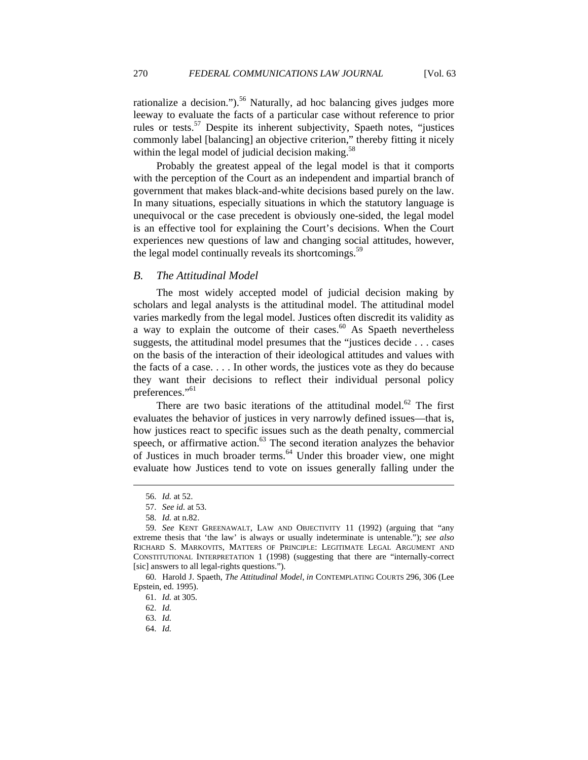rationalize a decision.").<sup>56</sup> Naturally, ad hoc balancing gives judges more leeway to evaluate the facts of a particular case without reference to prior rules or tests.<sup>57</sup> Despite its inherent subjectivity, Spaeth notes, "justices commonly label [balancing] an objective criterion," thereby fitting it nicely within the legal model of judicial decision making.<sup>58</sup>

Probably the greatest appeal of the legal model is that it comports with the perception of the Court as an independent and impartial branch of government that makes black-and-white decisions based purely on the law. In many situations, especially situations in which the statutory language is unequivocal or the case precedent is obviously one-sided, the legal model is an effective tool for explaining the Court's decisions. When the Court experiences new questions of law and changing social attitudes, however, the legal model continually reveals its shortcomings.<sup>59</sup>

#### *B. The Attitudinal Model*

The most widely accepted model of judicial decision making by scholars and legal analysts is the attitudinal model. The attitudinal model varies markedly from the legal model. Justices often discredit its validity as a way to explain the outcome of their cases. $60$  As Spaeth nevertheless suggests, the attitudinal model presumes that the "justices decide . . . cases on the basis of the interaction of their ideological attitudes and values with the facts of a case. . . . In other words, the justices vote as they do because they want their decisions to reflect their individual personal policy preferences."<sup>61</sup>

There are two basic iterations of the attitudinal model.<sup>62</sup> The first evaluates the behavior of justices in very narrowly defined issues—that is, how justices react to specific issues such as the death penalty, commercial speech, or affirmative action.<sup>63</sup> The second iteration analyzes the behavior of Justices in much broader terms.64 Under this broader view, one might evaluate how Justices tend to vote on issues generally falling under the

 $\overline{a}$ 

64. *Id.*

 <sup>56.</sup> *Id.* at 52.

 <sup>57.</sup> *See id.* at 53.

 <sup>58.</sup> *Id.* at n.82.

 <sup>59.</sup> *See* KENT GREENAWALT, LAW AND OBJECTIVITY 11 (1992) (arguing that "any extreme thesis that 'the law' is always or usually indeterminate is untenable."); *see also* RICHARD S. MARKOVITS, MATTERS OF PRINCIPLE: LEGITIMATE LEGAL ARGUMENT AND CONSTITUTIONAL INTERPRETATION 1 (1998) (suggesting that there are "internally-correct [sic] answers to all legal-rights questions.").

 <sup>60.</sup> Harold J. Spaeth, *The Attitudinal Model*, *in* CONTEMPLATING COURTS 296, 306 (Lee Epstein, ed. 1995).

 <sup>61.</sup> *Id.* at 305.

 <sup>62.</sup> *Id.*

 <sup>63.</sup> *Id.*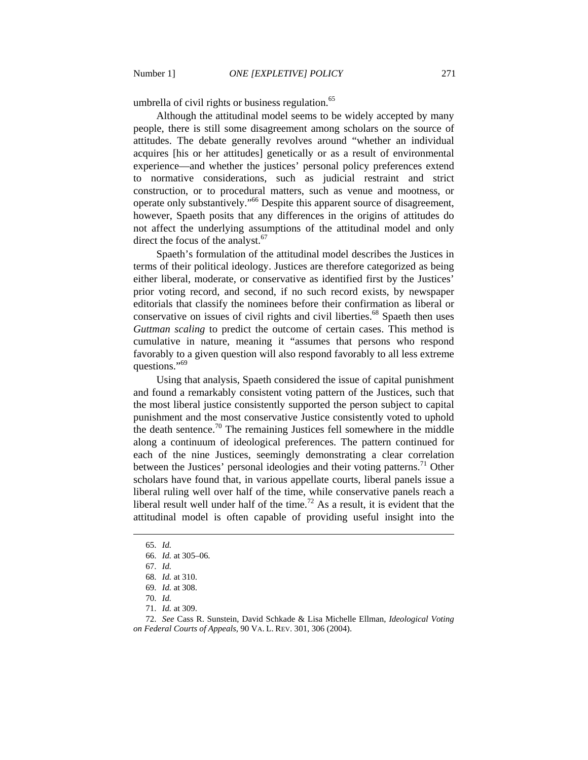umbrella of civil rights or business regulation.<sup>65</sup>

Although the attitudinal model seems to be widely accepted by many people, there is still some disagreement among scholars on the source of attitudes. The debate generally revolves around "whether an individual acquires [his or her attitudes] genetically or as a result of environmental experience—and whether the justices' personal policy preferences extend to normative considerations, such as judicial restraint and strict construction, or to procedural matters, such as venue and mootness, or operate only substantively."66 Despite this apparent source of disagreement, however, Spaeth posits that any differences in the origins of attitudes do not affect the underlying assumptions of the attitudinal model and only direct the focus of the analyst. $67$ 

Spaeth's formulation of the attitudinal model describes the Justices in terms of their political ideology. Justices are therefore categorized as being either liberal, moderate, or conservative as identified first by the Justices' prior voting record, and second, if no such record exists, by newspaper editorials that classify the nominees before their confirmation as liberal or conservative on issues of civil rights and civil liberties.<sup>68</sup> Spaeth then uses *Guttman scaling* to predict the outcome of certain cases. This method is cumulative in nature, meaning it "assumes that persons who respond favorably to a given question will also respond favorably to all less extreme questions."<sup>69</sup>

Using that analysis, Spaeth considered the issue of capital punishment and found a remarkably consistent voting pattern of the Justices, such that the most liberal justice consistently supported the person subject to capital punishment and the most conservative Justice consistently voted to uphold the death sentence.<sup>70</sup> The remaining Justices fell somewhere in the middle along a continuum of ideological preferences. The pattern continued for each of the nine Justices, seemingly demonstrating a clear correlation between the Justices' personal ideologies and their voting patterns.<sup>71</sup> Other scholars have found that, in various appellate courts, liberal panels issue a liberal ruling well over half of the time, while conservative panels reach a liberal result well under half of the time.<sup>72</sup> As a result, it is evident that the attitudinal model is often capable of providing useful insight into the

 <sup>65.</sup> *Id.*

 <sup>66.</sup> *Id.* at 305–06.

 <sup>67.</sup> *Id.*

 <sup>68.</sup> *Id.* at 310.

 <sup>69.</sup> *Id.* at 308.

 <sup>70.</sup> *Id.*

 <sup>71.</sup> *Id.* at 309.

 <sup>72.</sup> *See* Cass R. Sunstein, David Schkade & Lisa Michelle Ellman, *Ideological Voting on Federal Courts of Appeals*, 90 VA. L. REV. 301, 306 (2004).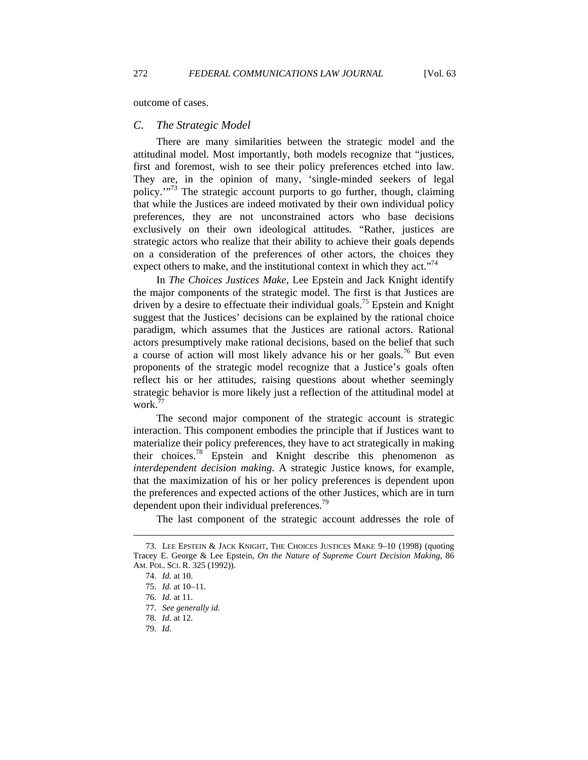outcome of cases.

#### *C. The Strategic Model*

There are many similarities between the strategic model and the attitudinal model. Most importantly, both models recognize that "justices, first and foremost, wish to see their policy preferences etched into law. They are, in the opinion of many, 'single-minded seekers of legal policy.'"73 The strategic account purports to go further, though, claiming that while the Justices are indeed motivated by their own individual policy preferences, they are not unconstrained actors who base decisions exclusively on their own ideological attitudes. "Rather, justices are strategic actors who realize that their ability to achieve their goals depends on a consideration of the preferences of other actors, the choices they expect others to make, and the institutional context in which they act."<sup> $/4$ </sup>

In *The Choices Justices Make*, Lee Epstein and Jack Knight identify the major components of the strategic model. The first is that Justices are driven by a desire to effectuate their individual goals.<sup>75</sup> Epstein and Knight suggest that the Justices' decisions can be explained by the rational choice paradigm, which assumes that the Justices are rational actors. Rational actors presumptively make rational decisions, based on the belief that such a course of action will most likely advance his or her goals.<sup>76</sup> But even proponents of the strategic model recognize that a Justice's goals often reflect his or her attitudes, raising questions about whether seemingly strategic behavior is more likely just a reflection of the attitudinal model at work.<sup>77</sup>

The second major component of the strategic account is strategic interaction. This component embodies the principle that if Justices want to materialize their policy preferences, they have to act strategically in making their choices.78 Epstein and Knight describe this phenomenon as *interdependent decision making*. A strategic Justice knows, for example, that the maximization of his or her policy preferences is dependent upon the preferences and expected actions of the other Justices, which are in turn dependent upon their individual preferences.<sup>79</sup>

The last component of the strategic account addresses the role of

 <sup>73.</sup> LEE EPSTEIN & JACK KNIGHT, THE CHOICES JUSTICES MAKE 9–10 (1998) (quoting Tracey E. George & Lee Epstein, *On the Nature of Supreme Court Decision Making*, 86 AM. POL. SCI. R. 325 (1992)).

 <sup>74.</sup> *Id.* at 10.

 <sup>75.</sup> *Id.* at 10–11.

 <sup>76.</sup> *Id.* at 11.

 <sup>77.</sup> *See generally id.*

 <sup>78.</sup> *Id.* at 12.

 <sup>79.</sup> *Id.*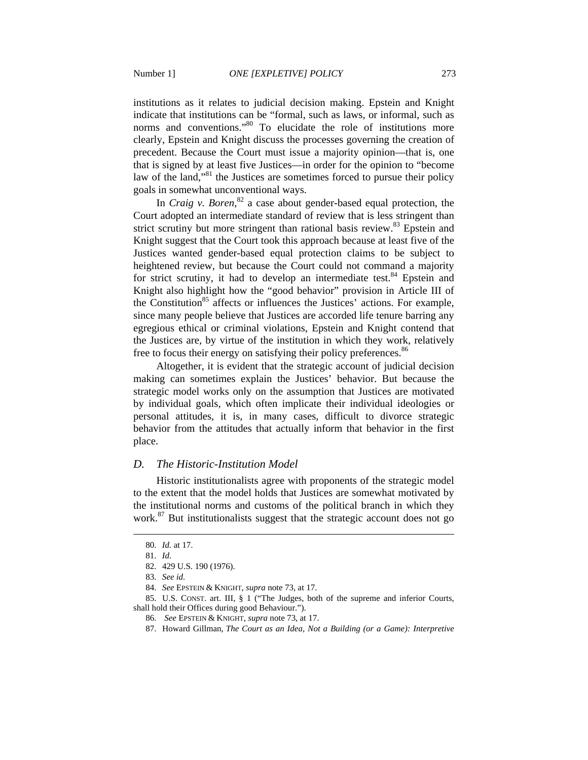institutions as it relates to judicial decision making. Epstein and Knight indicate that institutions can be "formal, such as laws, or informal, such as norms and conventions."<sup>80</sup> To elucidate the role of institutions more clearly, Epstein and Knight discuss the processes governing the creation of precedent. Because the Court must issue a majority opinion—that is, one that is signed by at least five Justices—in order for the opinion to "become law of the land,"<sup>81</sup> the Justices are sometimes forced to pursue their policy goals in somewhat unconventional ways.

In *Craig v. Boren*, 82 a case about gender-based equal protection, the Court adopted an intermediate standard of review that is less stringent than strict scrutiny but more stringent than rational basis review.<sup>83</sup> Epstein and Knight suggest that the Court took this approach because at least five of the Justices wanted gender-based equal protection claims to be subject to heightened review, but because the Court could not command a majority for strict scrutiny, it had to develop an intermediate test. $84$  Epstein and Knight also highlight how the "good behavior" provision in Article III of the Constitution<sup>85</sup> affects or influences the Justices' actions. For example, since many people believe that Justices are accorded life tenure barring any egregious ethical or criminal violations, Epstein and Knight contend that the Justices are, by virtue of the institution in which they work, relatively free to focus their energy on satisfying their policy preferences.<sup>86</sup>

Altogether, it is evident that the strategic account of judicial decision making can sometimes explain the Justices' behavior. But because the strategic model works only on the assumption that Justices are motivated by individual goals, which often implicate their individual ideologies or personal attitudes, it is, in many cases, difficult to divorce strategic behavior from the attitudes that actually inform that behavior in the first place.

#### *D. The Historic-Institution Model*

Historic institutionalists agree with proponents of the strategic model to the extent that the model holds that Justices are somewhat motivated by the institutional norms and customs of the political branch in which they work.<sup>87</sup> But institutionalists suggest that the strategic account does not go

 $\overline{a}$ 

 85. U.S. CONST. art. III, § 1 ("The Judges, both of the supreme and inferior Courts, shall hold their Offices during good Behaviour.").

 <sup>80.</sup> *Id.* at 17.

 <sup>81.</sup> *Id*.

 <sup>82. 429</sup> U.S. 190 (1976).

 <sup>83.</sup> *See id.*

 <sup>84.</sup> *See* EPSTEIN & KNIGHT, *supra* note 73, at 17.

 <sup>86.</sup> *See* EPSTEIN & KNIGHT, *supra* note 73, at 17.

 <sup>87.</sup> Howard Gillman, *The Court as an Idea, Not a Building (or a Game): Interpretive*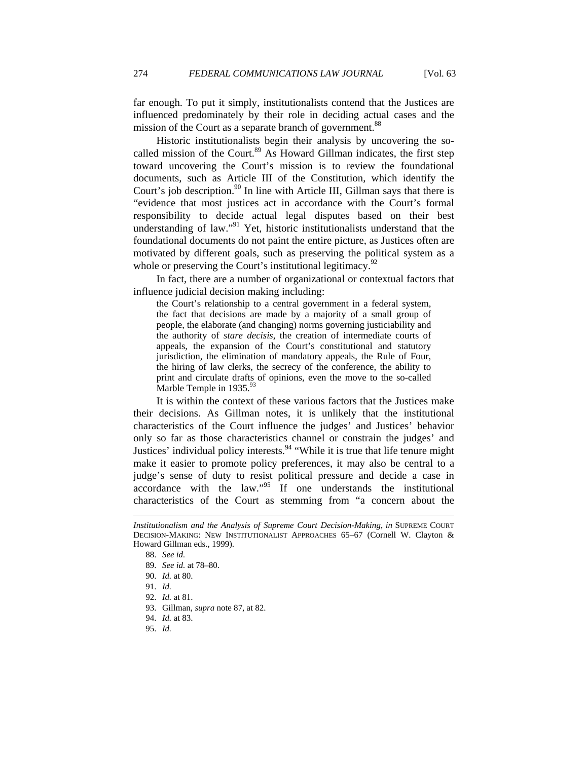far enough. To put it simply, institutionalists contend that the Justices are influenced predominately by their role in deciding actual cases and the mission of the Court as a separate branch of government.<sup>88</sup>

Historic institutionalists begin their analysis by uncovering the socalled mission of the Court.<sup>89</sup> As Howard Gillman indicates, the first step toward uncovering the Court's mission is to review the foundational documents, such as Article III of the Constitution, which identify the Court's job description.<sup>90</sup> In line with Article III, Gillman says that there is "evidence that most justices act in accordance with the Court's formal responsibility to decide actual legal disputes based on their best understanding of law."<sup>91</sup> Yet, historic institutionalists understand that the foundational documents do not paint the entire picture, as Justices often are motivated by different goals, such as preserving the political system as a whole or preserving the Court's institutional legitimacy. $92$ 

In fact, there are a number of organizational or contextual factors that influence judicial decision making including:

the Court's relationship to a central government in a federal system, the fact that decisions are made by a majority of a small group of people, the elaborate (and changing) norms governing justiciability and the authority of *stare decisis*, the creation of intermediate courts of appeals, the expansion of the Court's constitutional and statutory jurisdiction, the elimination of mandatory appeals, the Rule of Four, the hiring of law clerks, the secrecy of the conference, the ability to print and circulate drafts of opinions, even the move to the so-called Marble Temple in  $1935.^{93}$ 

It is within the context of these various factors that the Justices make their decisions. As Gillman notes, it is unlikely that the institutional characteristics of the Court influence the judges' and Justices' behavior only so far as those characteristics channel or constrain the judges' and Justices' individual policy interests.<sup>94</sup> "While it is true that life tenure might make it easier to promote policy preferences, it may also be central to a judge's sense of duty to resist political pressure and decide a case in accordance with the law."95 If one understands the institutional characteristics of the Court as stemming from "a concern about the

*Institutionalism and the Analysis of Supreme Court Decision-Making*, *in* SUPREME COURT DECISION-MAKING: NEW INSTITUTIONALIST APPROACHES 65–67 (Cornell W. Clayton & Howard Gillman eds., 1999).

 <sup>88.</sup> *See id.*

 <sup>89.</sup> *See id.* at 78–80.

 <sup>90.</sup> *Id.* at 80.

 <sup>91.</sup> *Id.*

 <sup>92.</sup> *Id.* at 81.

 <sup>93.</sup> Gillman, *supra* note 87, at 82.

 <sup>94.</sup> *Id.* at 83.

 <sup>95.</sup> *Id.*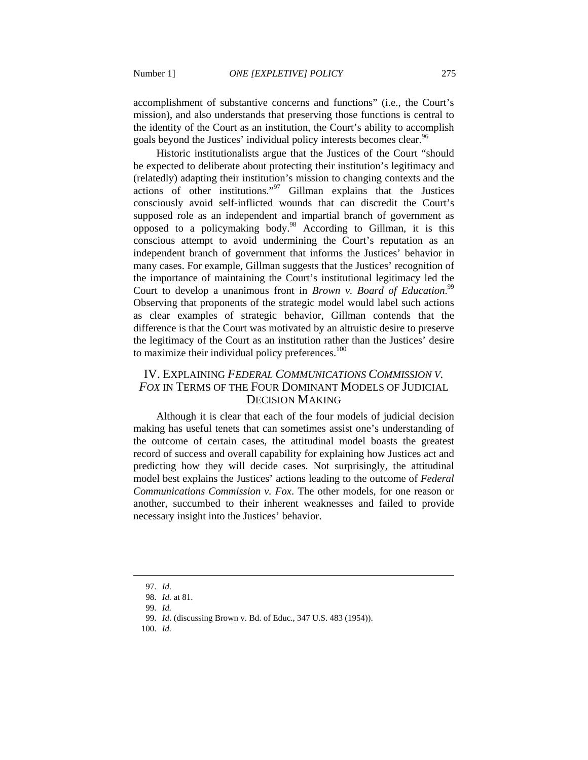accomplishment of substantive concerns and functions" (i.e., the Court's mission), and also understands that preserving those functions is central to the identity of the Court as an institution, the Court's ability to accomplish goals beyond the Justices' individual policy interests becomes clear.<sup>96</sup>

Historic institutionalists argue that the Justices of the Court "should be expected to deliberate about protecting their institution's legitimacy and (relatedly) adapting their institution's mission to changing contexts and the actions of other institutions."97 Gillman explains that the Justices consciously avoid self-inflicted wounds that can discredit the Court's supposed role as an independent and impartial branch of government as opposed to a policymaking body.98 According to Gillman, it is this conscious attempt to avoid undermining the Court's reputation as an independent branch of government that informs the Justices' behavior in many cases. For example, Gillman suggests that the Justices' recognition of the importance of maintaining the Court's institutional legitimacy led the Court to develop a unanimous front in *Brown v. Board of Education*.<sup>99</sup> Observing that proponents of the strategic model would label such actions as clear examples of strategic behavior, Gillman contends that the difference is that the Court was motivated by an altruistic desire to preserve the legitimacy of the Court as an institution rather than the Justices' desire to maximize their individual policy preferences. $100$ 

## IV. EXPLAINING *FEDERAL COMMUNICATIONS COMMISSION V. FOX* IN TERMS OF THE FOUR DOMINANT MODELS OF JUDICIAL DECISION MAKING

Although it is clear that each of the four models of judicial decision making has useful tenets that can sometimes assist one's understanding of the outcome of certain cases, the attitudinal model boasts the greatest record of success and overall capability for explaining how Justices act and predicting how they will decide cases. Not surprisingly, the attitudinal model best explains the Justices' actions leading to the outcome of *Federal Communications Commission v. Fox*. The other models, for one reason or another, succumbed to their inherent weaknesses and failed to provide necessary insight into the Justices' behavior.

 <sup>97.</sup> *Id.*

 <sup>98.</sup> *Id.* at 81.

 <sup>99.</sup> *Id.*

 <sup>99.</sup> *Id.* (discussing Brown v. Bd. of Educ., 347 U.S. 483 (1954)).

 <sup>100.</sup> *Id.*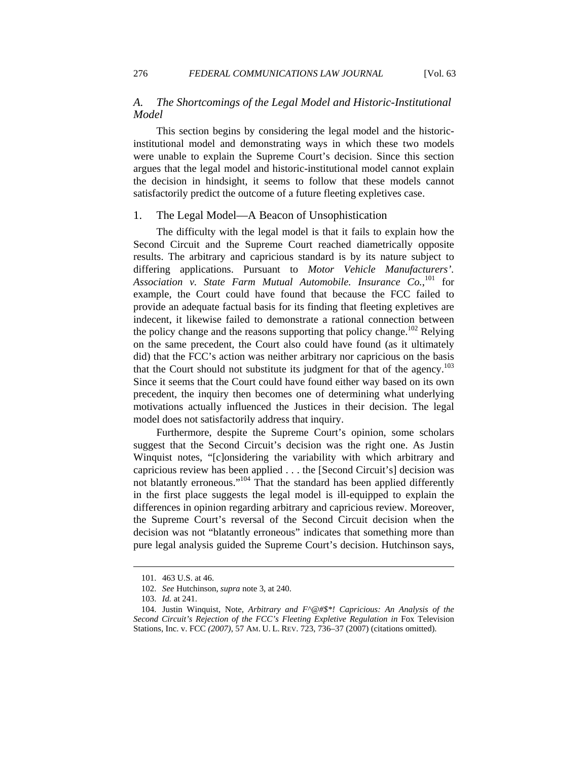This section begins by considering the legal model and the historicinstitutional model and demonstrating ways in which these two models were unable to explain the Supreme Court's decision. Since this section argues that the legal model and historic-institutional model cannot explain the decision in hindsight, it seems to follow that these models cannot satisfactorily predict the outcome of a future fleeting expletives case.

#### 1. The Legal Model—A Beacon of Unsophistication

The difficulty with the legal model is that it fails to explain how the Second Circuit and the Supreme Court reached diametrically opposite results. The arbitrary and capricious standard is by its nature subject to differing applications. Pursuant to *Motor Vehicle Manufacturers'.*  Association v. State Farm Mutual Automobile. Insurance Co.,<sup>101</sup> for example, the Court could have found that because the FCC failed to provide an adequate factual basis for its finding that fleeting expletives are indecent, it likewise failed to demonstrate a rational connection between the policy change and the reasons supporting that policy change.<sup>102</sup> Relying on the same precedent, the Court also could have found (as it ultimately did) that the FCC's action was neither arbitrary nor capricious on the basis that the Court should not substitute its judgment for that of the agency.<sup>103</sup> Since it seems that the Court could have found either way based on its own precedent, the inquiry then becomes one of determining what underlying motivations actually influenced the Justices in their decision. The legal model does not satisfactorily address that inquiry.

Furthermore, despite the Supreme Court's opinion, some scholars suggest that the Second Circuit's decision was the right one. As Justin Winquist notes, "[c]onsidering the variability with which arbitrary and capricious review has been applied . . . the [Second Circuit's] decision was not blatantly erroneous."<sup>104</sup> That the standard has been applied differently in the first place suggests the legal model is ill-equipped to explain the differences in opinion regarding arbitrary and capricious review. Moreover, the Supreme Court's reversal of the Second Circuit decision when the decision was not "blatantly erroneous" indicates that something more than pure legal analysis guided the Supreme Court's decision. Hutchinson says,

 <sup>101. 463</sup> U.S. at 46.

 <sup>102.</sup> *See* Hutchinson, *supra* note 3, at 240.

 <sup>103.</sup> *Id.* at 241.

 <sup>104.</sup> Justin Winquist, Note, *Arbitrary and F^@#\$\*! Capricious: An Analysis of the*  Second Circuit's Rejection of the FCC's Fleeting Expletive Regulation in Fox Television Stations, Inc. v. FCC *(2007)*, 57 AM. U. L. REV. 723, 736–37 (2007) (citations omitted).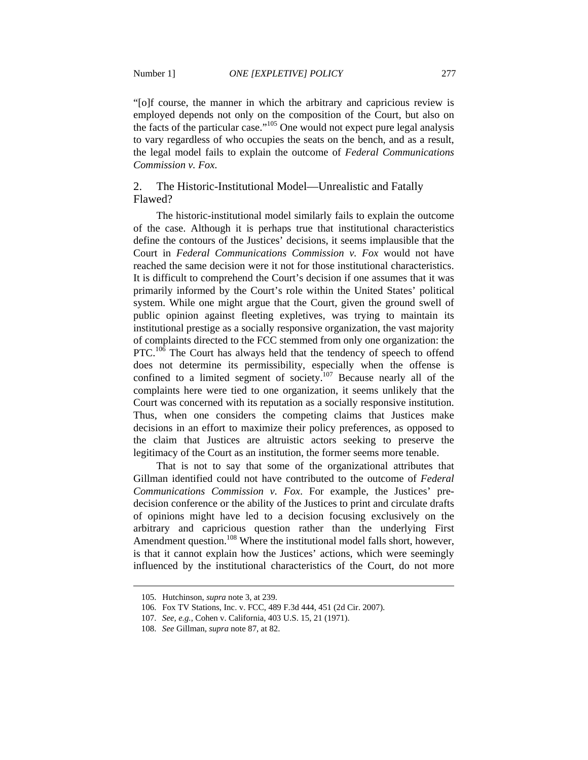"[o]f course, the manner in which the arbitrary and capricious review is employed depends not only on the composition of the Court, but also on the facts of the particular case."105 One would not expect pure legal analysis to vary regardless of who occupies the seats on the bench, and as a result, the legal model fails to explain the outcome of *Federal Communications* 

*Commission v. Fox*.

## 2. The Historic-Institutional Model—Unrealistic and Fatally Flawed?

The historic-institutional model similarly fails to explain the outcome of the case. Although it is perhaps true that institutional characteristics define the contours of the Justices' decisions, it seems implausible that the Court in *Federal Communications Commission v. Fox* would not have reached the same decision were it not for those institutional characteristics. It is difficult to comprehend the Court's decision if one assumes that it was primarily informed by the Court's role within the United States' political system. While one might argue that the Court, given the ground swell of public opinion against fleeting expletives, was trying to maintain its institutional prestige as a socially responsive organization, the vast majority of complaints directed to the FCC stemmed from only one organization: the PTC.<sup>106</sup> The Court has always held that the tendency of speech to offend does not determine its permissibility, especially when the offense is confined to a limited segment of society.<sup>107</sup> Because nearly all of the complaints here were tied to one organization, it seems unlikely that the Court was concerned with its reputation as a socially responsive institution. Thus, when one considers the competing claims that Justices make decisions in an effort to maximize their policy preferences, as opposed to the claim that Justices are altruistic actors seeking to preserve the legitimacy of the Court as an institution, the former seems more tenable.

That is not to say that some of the organizational attributes that Gillman identified could not have contributed to the outcome of *Federal Communications Commission v. Fox*. For example, the Justices' predecision conference or the ability of the Justices to print and circulate drafts of opinions might have led to a decision focusing exclusively on the arbitrary and capricious question rather than the underlying First Amendment question.<sup>108</sup> Where the institutional model falls short, however, is that it cannot explain how the Justices' actions, which were seemingly influenced by the institutional characteristics of the Court, do not more

 <sup>105.</sup> Hutchinson, *supra* note 3, at 239.

 <sup>106.</sup> Fox TV Stations, Inc. v. FCC, 489 F.3d 444, 451 (2d Cir. 2007).

 <sup>107.</sup> *See, e.g.*, Cohen v. California, 403 U.S. 15, 21 (1971).

 <sup>108.</sup> *See* Gillman, *supra* note 87, at 82.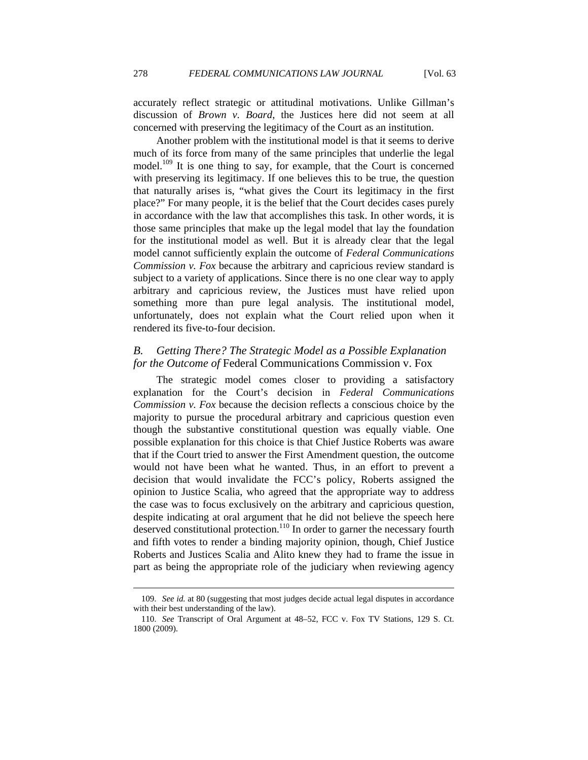accurately reflect strategic or attitudinal motivations. Unlike Gillman's discussion of *Brown v. Board*, the Justices here did not seem at all concerned with preserving the legitimacy of the Court as an institution.

Another problem with the institutional model is that it seems to derive much of its force from many of the same principles that underlie the legal model.<sup>109</sup> It is one thing to say, for example, that the Court is concerned with preserving its legitimacy. If one believes this to be true, the question that naturally arises is, "what gives the Court its legitimacy in the first place?" For many people, it is the belief that the Court decides cases purely in accordance with the law that accomplishes this task. In other words, it is those same principles that make up the legal model that lay the foundation for the institutional model as well. But it is already clear that the legal model cannot sufficiently explain the outcome of *Federal Communications Commission v. Fox* because the arbitrary and capricious review standard is subject to a variety of applications. Since there is no one clear way to apply arbitrary and capricious review, the Justices must have relied upon something more than pure legal analysis. The institutional model, unfortunately, does not explain what the Court relied upon when it rendered its five-to-four decision.

## *B. Getting There? The Strategic Model as a Possible Explanation for the Outcome of* Federal Communications Commission v. Fox

The strategic model comes closer to providing a satisfactory explanation for the Court's decision in *Federal Communications Commission v. Fox* because the decision reflects a conscious choice by the majority to pursue the procedural arbitrary and capricious question even though the substantive constitutional question was equally viable. One possible explanation for this choice is that Chief Justice Roberts was aware that if the Court tried to answer the First Amendment question, the outcome would not have been what he wanted. Thus, in an effort to prevent a decision that would invalidate the FCC's policy, Roberts assigned the opinion to Justice Scalia, who agreed that the appropriate way to address the case was to focus exclusively on the arbitrary and capricious question, despite indicating at oral argument that he did not believe the speech here deserved constitutional protection.<sup>110</sup> In order to garner the necessary fourth and fifth votes to render a binding majority opinion, though, Chief Justice Roberts and Justices Scalia and Alito knew they had to frame the issue in part as being the appropriate role of the judiciary when reviewing agency

 <sup>109.</sup> *See id.* at 80 (suggesting that most judges decide actual legal disputes in accordance with their best understanding of the law).

 <sup>110.</sup> *See* Transcript of Oral Argument at 48–52, FCC v. Fox TV Stations, 129 S. Ct. 1800 (2009).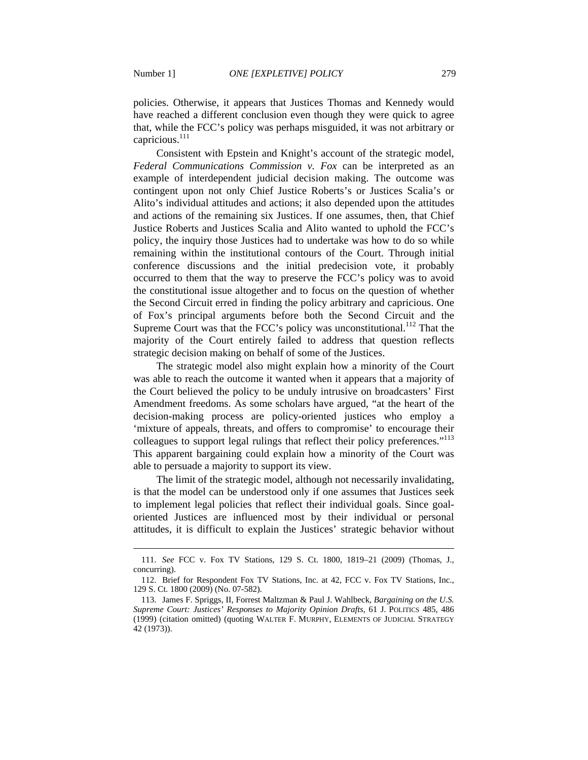$\overline{a}$ 

policies. Otherwise, it appears that Justices Thomas and Kennedy would have reached a different conclusion even though they were quick to agree that, while the FCC's policy was perhaps misguided, it was not arbitrary or capricious.<sup>111</sup>

Consistent with Epstein and Knight's account of the strategic model, *Federal Communications Commission v. Fox* can be interpreted as an example of interdependent judicial decision making. The outcome was contingent upon not only Chief Justice Roberts's or Justices Scalia's or Alito's individual attitudes and actions; it also depended upon the attitudes and actions of the remaining six Justices. If one assumes, then, that Chief Justice Roberts and Justices Scalia and Alito wanted to uphold the FCC's policy, the inquiry those Justices had to undertake was how to do so while remaining within the institutional contours of the Court. Through initial conference discussions and the initial predecision vote, it probably occurred to them that the way to preserve the FCC's policy was to avoid the constitutional issue altogether and to focus on the question of whether the Second Circuit erred in finding the policy arbitrary and capricious. One of Fox's principal arguments before both the Second Circuit and the Supreme Court was that the FCC's policy was unconstitutional.<sup>112</sup> That the majority of the Court entirely failed to address that question reflects strategic decision making on behalf of some of the Justices.

The strategic model also might explain how a minority of the Court was able to reach the outcome it wanted when it appears that a majority of the Court believed the policy to be unduly intrusive on broadcasters' First Amendment freedoms. As some scholars have argued, "at the heart of the decision-making process are policy-oriented justices who employ a 'mixture of appeals, threats, and offers to compromise' to encourage their colleagues to support legal rulings that reflect their policy preferences."<sup>113</sup> This apparent bargaining could explain how a minority of the Court was able to persuade a majority to support its view.

The limit of the strategic model, although not necessarily invalidating, is that the model can be understood only if one assumes that Justices seek to implement legal policies that reflect their individual goals. Since goaloriented Justices are influenced most by their individual or personal attitudes, it is difficult to explain the Justices' strategic behavior without

 <sup>111.</sup> *See* FCC v. Fox TV Stations, 129 S. Ct. 1800, 1819–21 (2009) (Thomas, J., concurring).

 <sup>112.</sup> Brief for Respondent Fox TV Stations, Inc. at 42, FCC v. Fox TV Stations, Inc., 129 S. Ct. 1800 (2009) (No. 07-582).

 <sup>113.</sup> James F. Spriggs, II, Forrest Maltzman & Paul J. Wahlbeck, *Bargaining on the U.S. Supreme Court: Justices' Responses to Majority Opinion Drafts*, 61 J. POLITICS 485, 486 (1999) (citation omitted) (quoting WALTER F. MURPHY, ELEMENTS OF JUDICIAL STRATEGY 42 (1973)).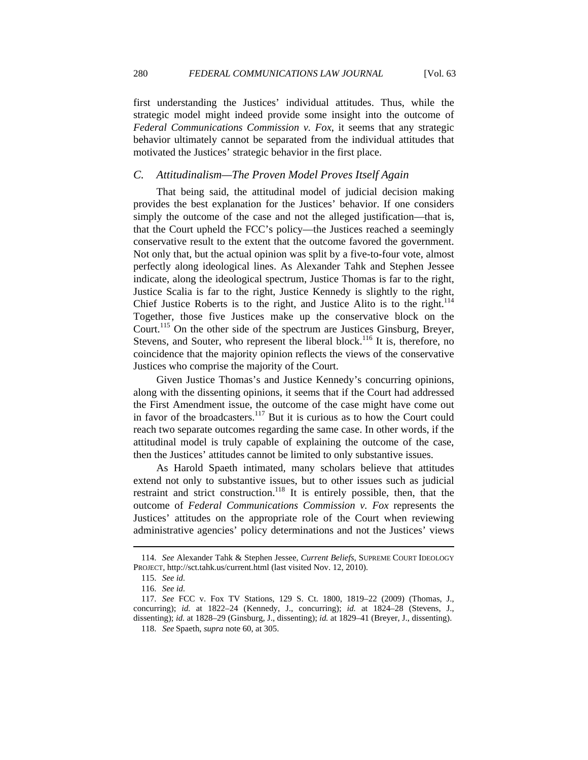first understanding the Justices' individual attitudes. Thus, while the strategic model might indeed provide some insight into the outcome of *Federal Communications Commission v. Fox*, it seems that any strategic behavior ultimately cannot be separated from the individual attitudes that motivated the Justices' strategic behavior in the first place.

#### *C. Attitudinalism—The Proven Model Proves Itself Again*

That being said, the attitudinal model of judicial decision making provides the best explanation for the Justices' behavior. If one considers simply the outcome of the case and not the alleged justification—that is, that the Court upheld the FCC's policy—the Justices reached a seemingly conservative result to the extent that the outcome favored the government. Not only that, but the actual opinion was split by a five-to-four vote, almost perfectly along ideological lines. As Alexander Tahk and Stephen Jessee indicate, along the ideological spectrum, Justice Thomas is far to the right, Justice Scalia is far to the right, Justice Kennedy is slightly to the right, Chief Justice Roberts is to the right, and Justice Alito is to the right.<sup>114</sup> Together, those five Justices make up the conservative block on the Court.<sup>115</sup> On the other side of the spectrum are Justices Ginsburg, Breyer, Stevens, and Souter, who represent the liberal block.<sup>116</sup> It is, therefore, no coincidence that the majority opinion reflects the views of the conservative Justices who comprise the majority of the Court.

Given Justice Thomas's and Justice Kennedy's concurring opinions, along with the dissenting opinions, it seems that if the Court had addressed the First Amendment issue, the outcome of the case might have come out in favor of the broadcasters.<sup>117</sup> But it is curious as to how the Court could reach two separate outcomes regarding the same case. In other words, if the attitudinal model is truly capable of explaining the outcome of the case, then the Justices' attitudes cannot be limited to only substantive issues.

As Harold Spaeth intimated, many scholars believe that attitudes extend not only to substantive issues, but to other issues such as judicial restraint and strict construction.<sup>118</sup> It is entirely possible, then, that the outcome of *Federal Communications Commission v. Fox* represents the Justices' attitudes on the appropriate role of the Court when reviewing administrative agencies' policy determinations and not the Justices' views

 <sup>114.</sup> *See* Alexander Tahk & Stephen Jessee, *Current Beliefs*, SUPREME COURT IDEOLOGY PROJECT, http://sct.tahk.us/current.html (last visited Nov. 12, 2010).

 <sup>115.</sup> *See id.*

 <sup>116.</sup> *See id.*

 <sup>117.</sup> *See* FCC v. Fox TV Stations, 129 S. Ct. 1800, 1819–22 (2009) (Thomas, J., concurring); *id.* at 1822–24 (Kennedy, J., concurring); *id.* at 1824–28 (Stevens, J., dissenting); *id.* at 1828–29 (Ginsburg, J., dissenting); *id.* at 1829–41 (Breyer, J., dissenting).

 <sup>118.</sup> *See* Spaeth, *supra* note 60, at 305.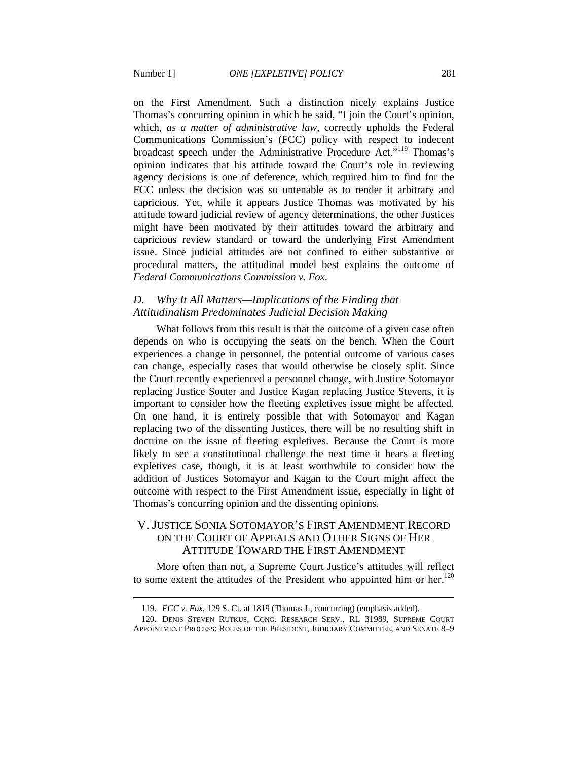$\overline{a}$ 

on the First Amendment. Such a distinction nicely explains Justice Thomas's concurring opinion in which he said, "I join the Court's opinion, which, *as a matter of administrative law*, correctly upholds the Federal Communications Commission's (FCC) policy with respect to indecent broadcast speech under the Administrative Procedure Act."119 Thomas's opinion indicates that his attitude toward the Court's role in reviewing

agency decisions is one of deference, which required him to find for the FCC unless the decision was so untenable as to render it arbitrary and capricious. Yet, while it appears Justice Thomas was motivated by his attitude toward judicial review of agency determinations, the other Justices might have been motivated by their attitudes toward the arbitrary and capricious review standard or toward the underlying First Amendment issue. Since judicial attitudes are not confined to either substantive or procedural matters, the attitudinal model best explains the outcome of *Federal Communications Commission v. Fox*.

#### *D. Why It All Matters—Implications of the Finding that Attitudinalism Predominates Judicial Decision Making*

What follows from this result is that the outcome of a given case often depends on who is occupying the seats on the bench. When the Court experiences a change in personnel, the potential outcome of various cases can change, especially cases that would otherwise be closely split. Since the Court recently experienced a personnel change, with Justice Sotomayor replacing Justice Souter and Justice Kagan replacing Justice Stevens, it is important to consider how the fleeting expletives issue might be affected. On one hand, it is entirely possible that with Sotomayor and Kagan replacing two of the dissenting Justices, there will be no resulting shift in doctrine on the issue of fleeting expletives. Because the Court is more likely to see a constitutional challenge the next time it hears a fleeting expletives case, though, it is at least worthwhile to consider how the addition of Justices Sotomayor and Kagan to the Court might affect the outcome with respect to the First Amendment issue, especially in light of Thomas's concurring opinion and the dissenting opinions.

# V. JUSTICE SONIA SOTOMAYOR'S FIRST AMENDMENT RECORD ON THE COURT OF APPEALS AND OTHER SIGNS OF HER ATTITUDE TOWARD THE FIRST AMENDMENT

More often than not, a Supreme Court Justice's attitudes will reflect to some extent the attitudes of the President who appointed him or her.<sup>120</sup>

 <sup>119.</sup> *FCC v. Fox*, 129 S. Ct. at 1819 (Thomas J., concurring) (emphasis added).

 <sup>120.</sup> DENIS STEVEN RUTKUS, CONG. RESEARCH SERV., RL 31989, SUPREME COURT APPOINTMENT PROCESS: ROLES OF THE PRESIDENT, JUDICIARY COMMITTEE, AND SENATE 8–9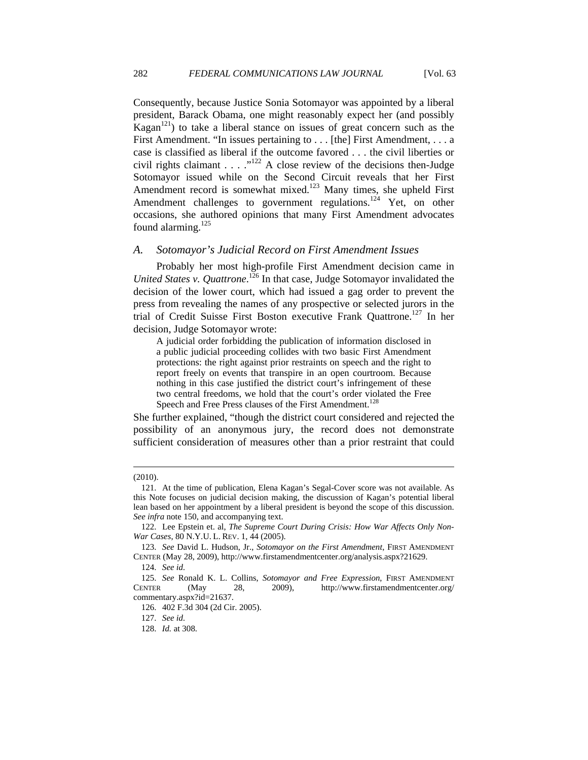Consequently, because Justice Sonia Sotomayor was appointed by a liberal president, Barack Obama, one might reasonably expect her (and possibly Kagan<sup>121</sup>) to take a liberal stance on issues of great concern such as the First Amendment. "In issues pertaining to . . . [the] First Amendment, . . . a case is classified as liberal if the outcome favored . . . the civil liberties or civil rights claimant . . . . "<sup>122</sup> A close review of the decisions then-Judge Sotomayor issued while on the Second Circuit reveals that her First Amendment record is somewhat mixed.<sup>123</sup> Many times, she upheld First Amendment challenges to government regulations.<sup>124</sup> Yet, on other occasions, she authored opinions that many First Amendment advocates found alarming. $125$ 

#### *A. Sotomayor's Judicial Record on First Amendment Issues*

Probably her most high-profile First Amendment decision came in United States v. Quattrone.<sup>126</sup> In that case, Judge Sotomayor invalidated the decision of the lower court, which had issued a gag order to prevent the press from revealing the names of any prospective or selected jurors in the trial of Credit Suisse First Boston executive Frank Quattrone.127 In her decision, Judge Sotomayor wrote:

A judicial order forbidding the publication of information disclosed in a public judicial proceeding collides with two basic First Amendment protections: the right against prior restraints on speech and the right to report freely on events that transpire in an open courtroom. Because nothing in this case justified the district court's infringement of these two central freedoms, we hold that the court's order violated the Free Speech and Free Press clauses of the First Amendment.<sup>128</sup>

She further explained, "though the district court considered and rejected the possibility of an anonymous jury, the record does not demonstrate sufficient consideration of measures other than a prior restraint that could

<sup>(2010).</sup> 

 <sup>121.</sup> At the time of publication, Elena Kagan's Segal-Cover score was not available. As this Note focuses on judicial decision making, the discussion of Kagan's potential liberal lean based on her appointment by a liberal president is beyond the scope of this discussion. *See infra* note 150, and accompanying text.

 <sup>122.</sup> Lee Epstein et. al, *The Supreme Court During Crisis: How War Affects Only Non-War Cases*, 80 N.Y.U. L. REV. 1, 44 (2005).

 <sup>123.</sup> *See* David L. Hudson, Jr., *Sotomayor on the First Amendment*, FIRST AMENDMENT CENTER (May 28, 2009), http://www.firstamendmentcenter.org/analysis.aspx?21629.

 <sup>124.</sup> *See id.*

 <sup>125.</sup> *See* Ronald K. L. Collins, *Sotomayor and Free Expression*, FIRST AMENDMENT CENTER (May 28, 2009), http://www.firstamendmentcenter.org/ commentary.aspx?id=21637.

 <sup>126. 402</sup> F.3d 304 (2d Cir. 2005).

 <sup>127.</sup> *See id.*

 <sup>128.</sup> *Id.* at 308.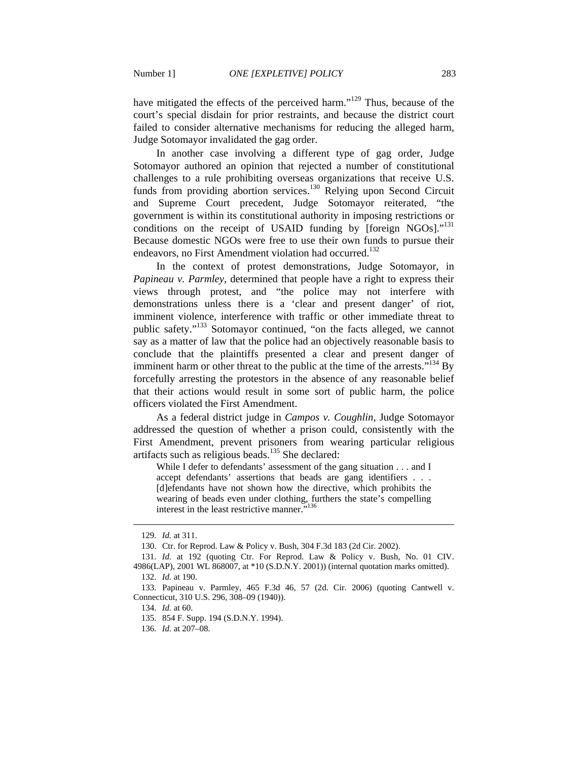have mitigated the effects of the perceived harm."<sup>129</sup> Thus, because of the court's special disdain for prior restraints, and because the district court failed to consider alternative mechanisms for reducing the alleged harm, Judge Sotomayor invalidated the gag order.

In another case involving a different type of gag order, Judge Sotomayor authored an opinion that rejected a number of constitutional challenges to a rule prohibiting overseas organizations that receive U.S. funds from providing abortion services.<sup>130</sup> Relying upon Second Circuit and Supreme Court precedent, Judge Sotomayor reiterated, "the government is within its constitutional authority in imposing restrictions or conditions on the receipt of USAID funding by [foreign NGOs]." $131$ Because domestic NGOs were free to use their own funds to pursue their endeavors, no First Amendment violation had occurred.<sup>132</sup>

In the context of protest demonstrations, Judge Sotomayor, in *Papineau v. Parmley*, determined that people have a right to express their views through protest, and "the police may not interfere with demonstrations unless there is a 'clear and present danger' of riot, imminent violence, interference with traffic or other immediate threat to public safety."<sup>133</sup> Sotomayor continued, "on the facts alleged, we cannot say as a matter of law that the police had an objectively reasonable basis to conclude that the plaintiffs presented a clear and present danger of imminent harm or other threat to the public at the time of the arrests.<sup> $5134$ </sup> By forcefully arresting the protestors in the absence of any reasonable belief that their actions would result in some sort of public harm, the police officers violated the First Amendment.

As a federal district judge in *Campos v. Coughlin*, Judge Sotomayor addressed the question of whether a prison could, consistently with the First Amendment, prevent prisoners from wearing particular religious artifacts such as religious beads.<sup>135</sup> She declared:

While I defer to defendants' assessment of the gang situation . . . and I accept defendants' assertions that beads are gang identifiers . . . [d]efendants have not shown how the directive, which prohibits the wearing of beads even under clothing, furthers the state's compelling interest in the least restrictive manner."<sup>136</sup>

 <sup>129.</sup> *Id.* at 311.

 <sup>130.</sup> Ctr. for Reprod. Law & Policy v. Bush, 304 F.3d 183 (2d Cir. 2002).

 <sup>131.</sup> *Id.* at 192 (quoting Ctr. For Reprod. Law & Policy v. Bush, No. 01 CIV. 4986(LAP), 2001 WL 868007, at \*10 (S.D.N.Y. 2001)) (internal quotation marks omitted). 132. *Id.* at 190.

 <sup>133.</sup> Papineau v. Parmley, 465 F.3d 46, 57 (2d. Cir. 2006) (quoting Cantwell v. Connecticut, 310 U.S. 296, 308–09 (1940)).

 <sup>134.</sup> *Id.* at 60.

 <sup>135. 854</sup> F. Supp. 194 (S.D.N.Y. 1994).

 <sup>136.</sup> *Id.* at 207–08.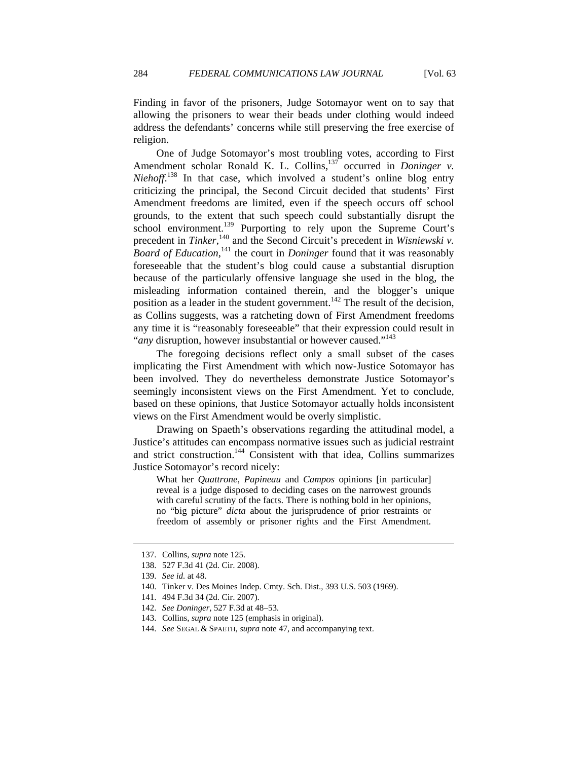Finding in favor of the prisoners, Judge Sotomayor went on to say that allowing the prisoners to wear their beads under clothing would indeed address the defendants' concerns while still preserving the free exercise of religion.

One of Judge Sotomayor's most troubling votes, according to First Amendment scholar Ronald K. L. Collins,<sup>137</sup> occurred in *Doninger v. Niehoff*. 138 In that case, which involved a student's online blog entry criticizing the principal, the Second Circuit decided that students' First Amendment freedoms are limited, even if the speech occurs off school grounds, to the extent that such speech could substantially disrupt the school environment.<sup>139</sup> Purporting to rely upon the Supreme Court's precedent in *Tinker*,<sup>140</sup> and the Second Circuit's precedent in *Wisniewski v*. *Board of Education*, 141 the court in *Doninger* found that it was reasonably foreseeable that the student's blog could cause a substantial disruption because of the particularly offensive language she used in the blog, the misleading information contained therein, and the blogger's unique position as a leader in the student government.<sup>142</sup> The result of the decision, as Collins suggests, was a ratcheting down of First Amendment freedoms any time it is "reasonably foreseeable" that their expression could result in "*any* disruption, however insubstantial or however caused."<sup>143</sup>

The foregoing decisions reflect only a small subset of the cases implicating the First Amendment with which now-Justice Sotomayor has been involved. They do nevertheless demonstrate Justice Sotomayor's seemingly inconsistent views on the First Amendment. Yet to conclude, based on these opinions, that Justice Sotomayor actually holds inconsistent views on the First Amendment would be overly simplistic.

Drawing on Spaeth's observations regarding the attitudinal model, a Justice's attitudes can encompass normative issues such as judicial restraint and strict construction.<sup>144</sup> Consistent with that idea, Collins summarizes Justice Sotomayor's record nicely:

What her *Quattrone, Papineau* and *Campos* opinions [in particular] reveal is a judge disposed to deciding cases on the narrowest grounds with careful scrutiny of the facts. There is nothing bold in her opinions, no "big picture" *dicta* about the jurisprudence of prior restraints or freedom of assembly or prisoner rights and the First Amendment.

 <sup>137.</sup> Collins, *supra* note 125.

 <sup>138. 527</sup> F.3d 41 (2d. Cir. 2008).

 <sup>139.</sup> *See id.* at 48.

 <sup>140.</sup> Tinker v. Des Moines Indep. Cmty. Sch. Dist., 393 U.S. 503 (1969).

 <sup>141. 494</sup> F.3d 34 (2d. Cir. 2007).

 <sup>142.</sup> *See Doninger*, 527 F.3d at 48–53.

 <sup>143.</sup> Collins, *supra* note 125 (emphasis in original).

 <sup>144.</sup> *See* SEGAL & SPAETH, *supra* note 47, and accompanying text.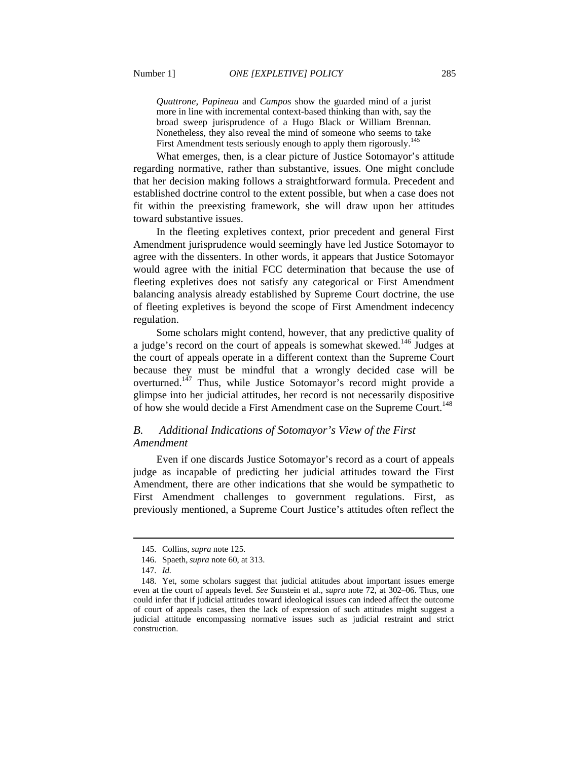*Quattrone, Papineau* and *Campos* show the guarded mind of a jurist more in line with incremental context-based thinking than with, say the broad sweep jurisprudence of a Hugo Black or William Brennan. Nonetheless, they also reveal the mind of someone who seems to take First Amendment tests seriously enough to apply them rigorously.<sup>145</sup>

What emerges, then, is a clear picture of Justice Sotomayor's attitude regarding normative, rather than substantive, issues. One might conclude that her decision making follows a straightforward formula. Precedent and established doctrine control to the extent possible, but when a case does not fit within the preexisting framework, she will draw upon her attitudes toward substantive issues.

In the fleeting expletives context, prior precedent and general First Amendment jurisprudence would seemingly have led Justice Sotomayor to agree with the dissenters. In other words, it appears that Justice Sotomayor would agree with the initial FCC determination that because the use of fleeting expletives does not satisfy any categorical or First Amendment balancing analysis already established by Supreme Court doctrine, the use of fleeting expletives is beyond the scope of First Amendment indecency regulation.

Some scholars might contend, however, that any predictive quality of a judge's record on the court of appeals is somewhat skewed.<sup>146</sup> Judges at the court of appeals operate in a different context than the Supreme Court because they must be mindful that a wrongly decided case will be overturned.<sup>147</sup> Thus, while Justice Sotomayor's record might provide a glimpse into her judicial attitudes, her record is not necessarily dispositive of how she would decide a First Amendment case on the Supreme Court.<sup>148</sup>

#### *B. Additional Indications of Sotomayor's View of the First Amendment*

Even if one discards Justice Sotomayor's record as a court of appeals judge as incapable of predicting her judicial attitudes toward the First Amendment, there are other indications that she would be sympathetic to First Amendment challenges to government regulations. First, as previously mentioned, a Supreme Court Justice's attitudes often reflect the

 <sup>145.</sup> Collins, *supra* note 125.

 <sup>146.</sup> Spaeth, *supra* note 60, at 313.

 <sup>147.</sup> *Id.*

 <sup>148.</sup> Yet, some scholars suggest that judicial attitudes about important issues emerge even at the court of appeals level. *See* Sunstein et al., *supra* note 72, at 302–06. Thus, one could infer that if judicial attitudes toward ideological issues can indeed affect the outcome of court of appeals cases, then the lack of expression of such attitudes might suggest a judicial attitude encompassing normative issues such as judicial restraint and strict construction.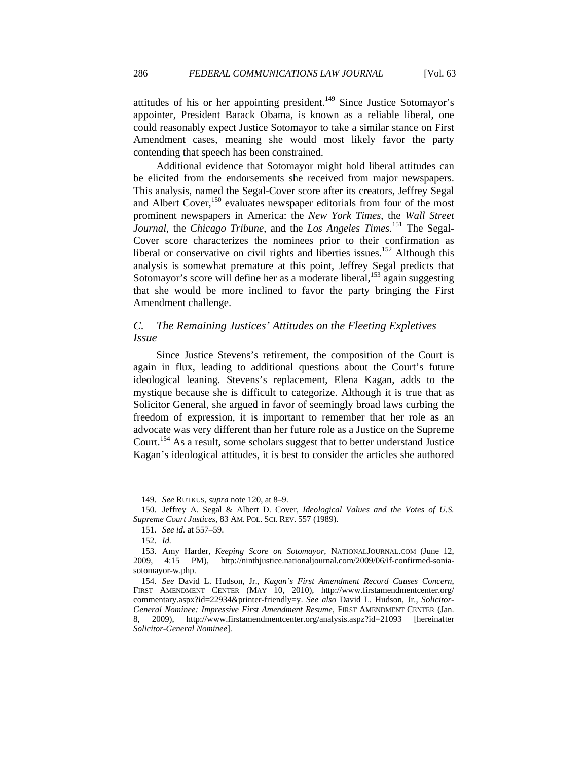attitudes of his or her appointing president. $149$  Since Justice Sotomayor's appointer, President Barack Obama, is known as a reliable liberal, one could reasonably expect Justice Sotomayor to take a similar stance on First Amendment cases, meaning she would most likely favor the party contending that speech has been constrained.

Additional evidence that Sotomayor might hold liberal attitudes can be elicited from the endorsements she received from major newspapers. This analysis, named the Segal-Cover score after its creators, Jeffrey Segal and Albert Cover,<sup>150</sup> evaluates newspaper editorials from four of the most prominent newspapers in America: the *New York Times*, the *Wall Street Journal*, the *Chicago Tribune*, and the *Los Angeles Times*. 151 The Segal-Cover score characterizes the nominees prior to their confirmation as liberal or conservative on civil rights and liberties issues.<sup>152</sup> Although this analysis is somewhat premature at this point, Jeffrey Segal predicts that Sotomayor's score will define her as a moderate liberal,  $153$  again suggesting that she would be more inclined to favor the party bringing the First Amendment challenge.

### *C. The Remaining Justices' Attitudes on the Fleeting Expletives Issue*

Since Justice Stevens's retirement, the composition of the Court is again in flux, leading to additional questions about the Court's future ideological leaning. Stevens's replacement, Elena Kagan, adds to the mystique because she is difficult to categorize. Although it is true that as Solicitor General, she argued in favor of seemingly broad laws curbing the freedom of expression, it is important to remember that her role as an advocate was very different than her future role as a Justice on the Supreme Court.<sup>154</sup> As a result, some scholars suggest that to better understand Justice Kagan's ideological attitudes, it is best to consider the articles she authored

 <sup>149.</sup> *See* RUTKUS, *supra* note 120, at 8–9.

 <sup>150.</sup> Jeffrey A. Segal & Albert D. Cover, *Ideological Values and the Votes of U.S. Supreme Court Justices*, 83 AM. POL. SCI. REV. 557 (1989).

 <sup>151.</sup> *See id.* at 557–59.

 <sup>152.</sup> *Id.*

 <sup>153.</sup> Amy Harder, *Keeping Score on Sotomayor*, NATIONALJOURNAL.COM (June 12, 2009, 4:15 PM), http://ninthjustice.nationaljournal.com/2009/06/if-confirmed-soniasotomayor-w.php.

 <sup>154.</sup> *See* David L. Hudson, Jr., *Kagan's First Amendment Record Causes Concern*, FIRST AMENDMENT CENTER (MAY 10, 2010), http://www.firstamendmentcenter.org/ commentary.aspx?id=22934&printer-friendly=y. *See also* David L. Hudson, Jr., *Solicitor-General Nominee: Impressive First Amendment Resume*, FIRST AMENDMENT CENTER (Jan. 8, 2009), http://www.firstamendmentcenter.org/analysis.aspz?id=21093 [hereinafter *Solicitor-General Nominee*].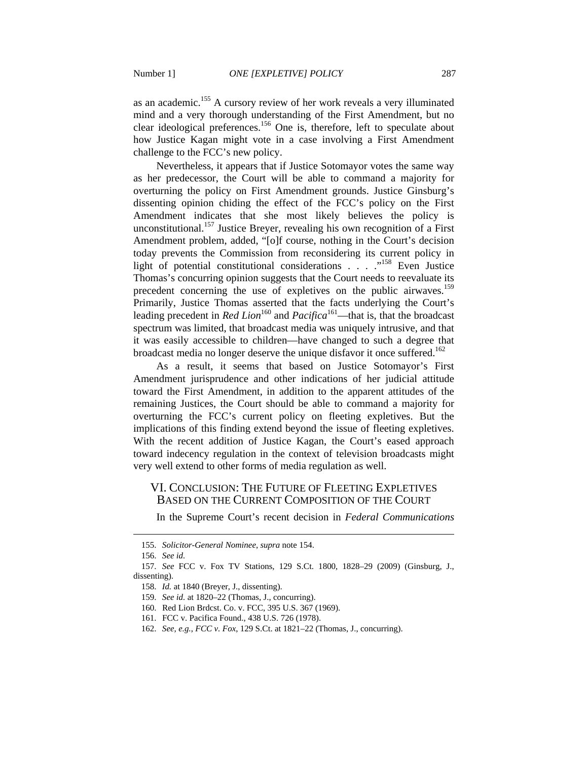as an academic.155 A cursory review of her work reveals a very illuminated mind and a very thorough understanding of the First Amendment, but no clear ideological preferences.156 One is, therefore, left to speculate about how Justice Kagan might vote in a case involving a First Amendment challenge to the FCC's new policy.

Nevertheless, it appears that if Justice Sotomayor votes the same way as her predecessor, the Court will be able to command a majority for overturning the policy on First Amendment grounds. Justice Ginsburg's dissenting opinion chiding the effect of the FCC's policy on the First Amendment indicates that she most likely believes the policy is unconstitutional.<sup>157</sup> Justice Breyer, revealing his own recognition of a First Amendment problem, added, "[o]f course, nothing in the Court's decision today prevents the Commission from reconsidering its current policy in light of potential constitutional considerations  $\ldots$  .  $\ldots$ <sup>158</sup> Even Justice Thomas's concurring opinion suggests that the Court needs to reevaluate its precedent concerning the use of expletives on the public airwaves.<sup>159</sup> Primarily, Justice Thomas asserted that the facts underlying the Court's leading precedent in *Red Lion*<sup>160</sup> and *Pacifica*<sup>161</sup>—that is, that the broadcast spectrum was limited, that broadcast media was uniquely intrusive, and that it was easily accessible to children—have changed to such a degree that broadcast media no longer deserve the unique disfavor it once suffered.<sup>162</sup>

As a result, it seems that based on Justice Sotomayor's First Amendment jurisprudence and other indications of her judicial attitude toward the First Amendment, in addition to the apparent attitudes of the remaining Justices, the Court should be able to command a majority for overturning the FCC's current policy on fleeting expletives. But the implications of this finding extend beyond the issue of fleeting expletives. With the recent addition of Justice Kagan, the Court's eased approach toward indecency regulation in the context of television broadcasts might very well extend to other forms of media regulation as well.

#### VI. CONCLUSION: THE FUTURE OF FLEETING EXPLETIVES BASED ON THE CURRENT COMPOSITION OF THE COURT

In the Supreme Court's recent decision in *Federal Communications* 

 <sup>155.</sup> *Solicitor-General Nominee*, *supra* note 154.

 <sup>156.</sup> *See id.*

 <sup>157.</sup> *See* FCC v. Fox TV Stations, 129 S.Ct. 1800, 1828–29 (2009) (Ginsburg, J., dissenting).

 <sup>158.</sup> *Id.* at 1840 (Breyer, J., dissenting).

 <sup>159.</sup> *See id.* at 1820–22 (Thomas, J., concurring).

 <sup>160.</sup> Red Lion Brdcst. Co. v. FCC, 395 U.S. 367 (1969).

 <sup>161.</sup> FCC v. Pacifica Found., 438 U.S. 726 (1978).

 <sup>162.</sup> *See, e.g.*, *FCC v. Fox*, 129 S.Ct. at 1821–22 (Thomas, J., concurring).